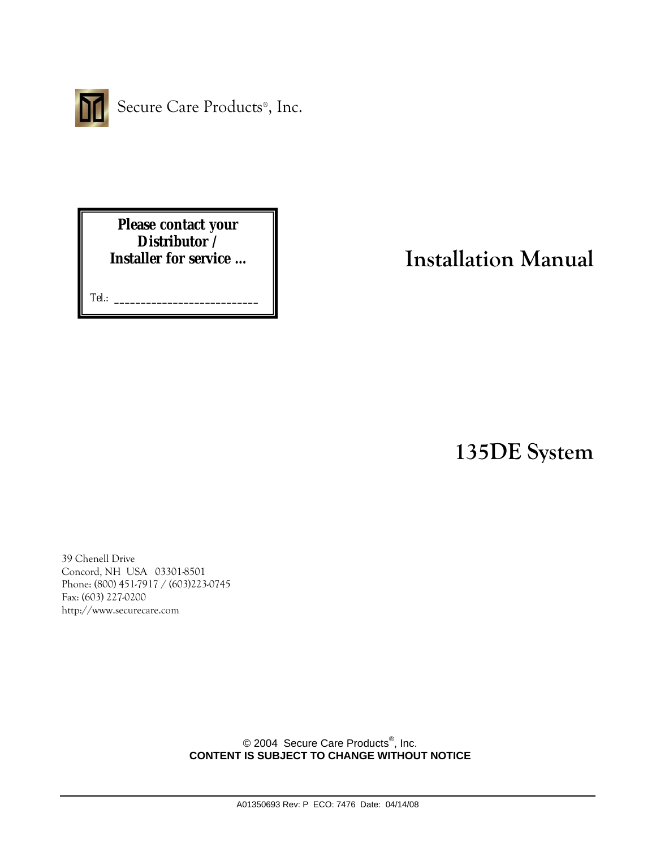

Secure Care Products®, Inc.

**Please contact your Distributor / Installer for service …** 

Tel.: **\_\_\_\_\_\_\_\_\_\_\_\_\_\_\_\_\_\_\_\_\_\_\_\_\_\_\_**

# **Installation Manual**

**135DE System** 

39 Chenell Drive Concord, NH USA 03301-8501 Phone: (800) 451-7917 / (603)223-0745 Fax: (603) 227-0200 http://www.securecare.com

> © 2004 Secure Care Products<sup>®</sup>, Inc. **CONTENT IS SUBJECT TO CHANGE WITHOUT NOTICE**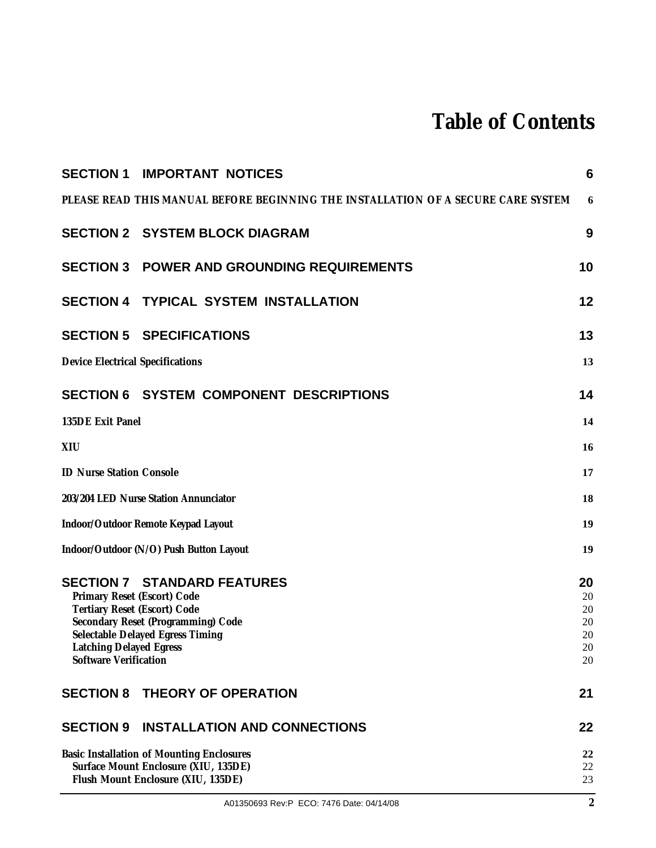# **Table of Contents**

|                                                                                                                                                                                                                                        | <b>SECTION 1 IMPORTANT NOTICES</b>                                                                                             | 6                                      |
|----------------------------------------------------------------------------------------------------------------------------------------------------------------------------------------------------------------------------------------|--------------------------------------------------------------------------------------------------------------------------------|----------------------------------------|
|                                                                                                                                                                                                                                        | PLEASE READ THIS MANUAL BEFORE BEGINNING THE INSTALLATION OF A SECURE CARE SYSTEM                                              | 6                                      |
|                                                                                                                                                                                                                                        | <b>SECTION 2 SYSTEM BLOCK DIAGRAM</b>                                                                                          | 9                                      |
|                                                                                                                                                                                                                                        | <b>SECTION 3 POWER AND GROUNDING REQUIREMENTS</b>                                                                              | 10                                     |
|                                                                                                                                                                                                                                        | <b>SECTION 4 TYPICAL SYSTEM INSTALLATION</b>                                                                                   | 12                                     |
|                                                                                                                                                                                                                                        | <b>SECTION 5 SPECIFICATIONS</b>                                                                                                | 13                                     |
| <b>Device Electrical Specifications</b>                                                                                                                                                                                                |                                                                                                                                | 13                                     |
|                                                                                                                                                                                                                                        | <b>SECTION 6 SYSTEM COMPONENT DESCRIPTIONS</b>                                                                                 | 14                                     |
| 135DE Exit Panel                                                                                                                                                                                                                       |                                                                                                                                | 14                                     |
| XIU                                                                                                                                                                                                                                    |                                                                                                                                | 16                                     |
| <b>ID Nurse Station Console</b>                                                                                                                                                                                                        |                                                                                                                                | 17                                     |
| 203/204 LED Nurse Station Annunciator                                                                                                                                                                                                  |                                                                                                                                | 18                                     |
|                                                                                                                                                                                                                                        | Indoor/Outdoor Remote Keypad Layout                                                                                            | 19                                     |
|                                                                                                                                                                                                                                        | Indoor/Outdoor (N/O) Push Button Layout                                                                                        | 19                                     |
| <b>SECTION 7 STANDARD FEATURES</b><br>Primary Reset (Escort) Code<br>Tertiary Reset (Escort) Code<br>Secondary Reset (Programming) Code<br>Selectable Delayed Egress Timing<br>Latching Delayed Egress<br><b>Software Verification</b> |                                                                                                                                | 20<br>20<br>20<br>20<br>20<br>20<br>20 |
|                                                                                                                                                                                                                                        | <b>SECTION 8 THEORY OF OPERATION</b>                                                                                           | 21                                     |
|                                                                                                                                                                                                                                        | <b>SECTION 9 INSTALLATION AND CONNECTIONS</b>                                                                                  | 22                                     |
|                                                                                                                                                                                                                                        | <b>Basic Installation of Mounting Enclosures</b><br>Surface Mount Enclosure (XIU, 135DE)<br>Flush Mount Enclosure (XIU, 135DE) | 22<br>22<br>23                         |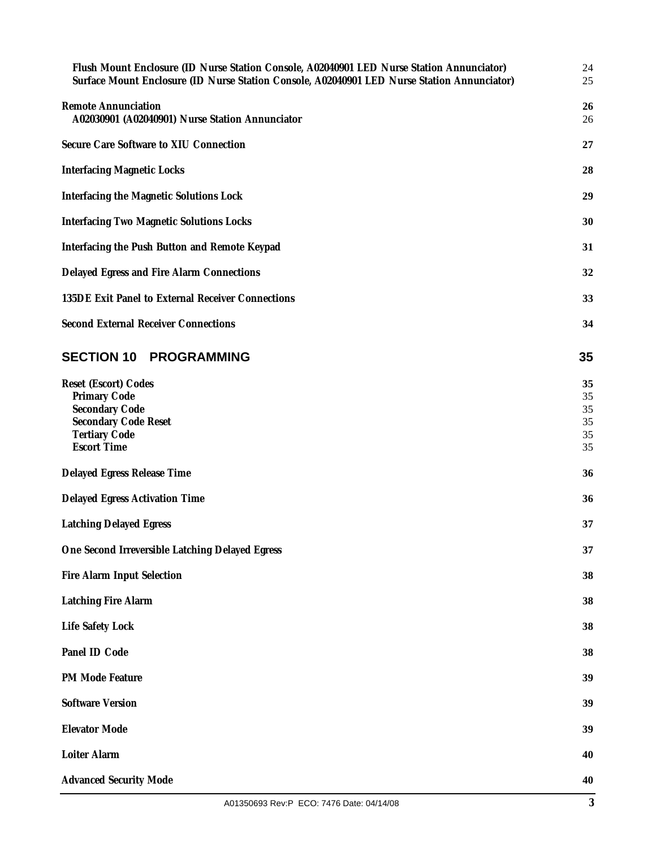| Flush Mount Enclosure (ID Nurse Station Console, A02040901 LED Nurse Station Annunciator)<br>Surface Mount Enclosure (ID Nurse Station Console, A02040901 LED Nurse Station Annunciator) | 24<br>25                         |  |
|------------------------------------------------------------------------------------------------------------------------------------------------------------------------------------------|----------------------------------|--|
| <b>Remote Annunciation</b><br>A02030901 (A02040901) Nurse Station Annunciator                                                                                                            | 26<br>26                         |  |
| Secure Care Software to XIU Connection                                                                                                                                                   | 27                               |  |
| <b>Interfacing Magnetic Locks</b>                                                                                                                                                        | 28                               |  |
| Interfacing the Magnetic Solutions Lock                                                                                                                                                  | 29                               |  |
| <b>Interfacing Two Magnetic Solutions Locks</b>                                                                                                                                          | 30                               |  |
| Interfacing the Push Button and Remote Keypad                                                                                                                                            | 31                               |  |
| Delayed Egress and Fire Alarm Connections                                                                                                                                                | 32                               |  |
| 135DE Exit Panel to External Receiver Connections                                                                                                                                        | 33                               |  |
| <b>Second External Receiver Connections</b>                                                                                                                                              | 34                               |  |
| <b>SECTION 10 PROGRAMMING</b>                                                                                                                                                            | 35                               |  |
| Reset (Escort) Codes<br>Primary Code<br>Secondary Code<br><b>Secondary Code Reset</b><br><b>Tertiary Code</b><br><b>Escort Time</b>                                                      | 35<br>35<br>35<br>35<br>35<br>35 |  |
| Delayed Egress Release Time                                                                                                                                                              | 36                               |  |
| Delayed Egress Activation Time                                                                                                                                                           | 36                               |  |
| <b>Latching Delayed Egress</b>                                                                                                                                                           | 37                               |  |
| One Second Irreversible Latching Delayed Egress                                                                                                                                          |                                  |  |
| Fire Alarm Input Selection                                                                                                                                                               | 38                               |  |
| Latching Fire Alarm                                                                                                                                                                      | 38                               |  |
| Life Safety Lock                                                                                                                                                                         | 38                               |  |
| Panel ID Code                                                                                                                                                                            | 38                               |  |
| PM Mode Feature                                                                                                                                                                          | 39                               |  |
| <b>Software Version</b>                                                                                                                                                                  | 39                               |  |
| <b>Elevator Mode</b>                                                                                                                                                                     | 39                               |  |
| Loiter Alarm                                                                                                                                                                             | 40                               |  |
| <b>Advanced Security Mode</b>                                                                                                                                                            | 40                               |  |
|                                                                                                                                                                                          |                                  |  |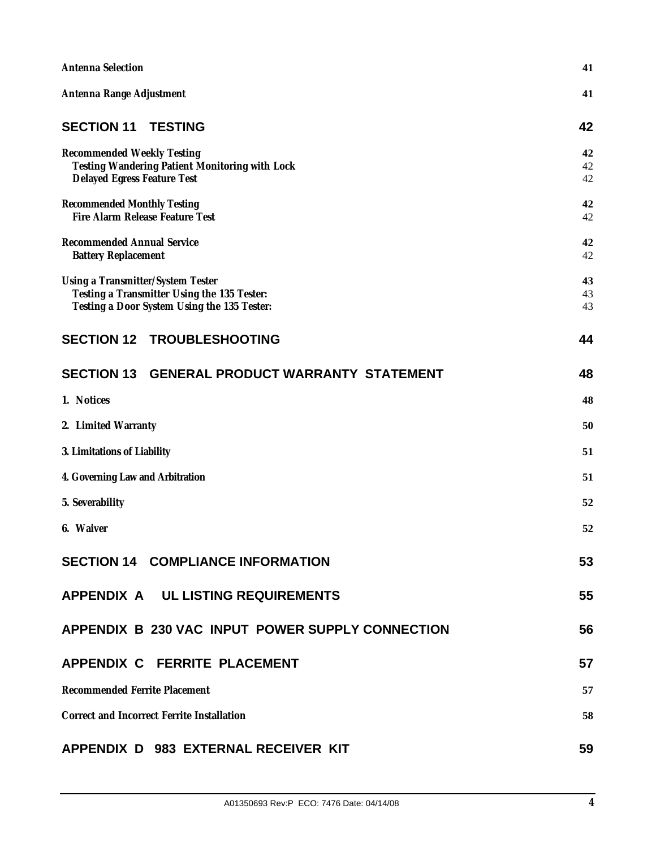| Antenna Selection                                                                                                               |                |  |
|---------------------------------------------------------------------------------------------------------------------------------|----------------|--|
| Antenna Range Adjustment                                                                                                        | 41             |  |
| <b>SECTION 11</b><br><b>TESTING</b>                                                                                             | 42             |  |
| <b>Recommended Weekly Testing</b><br>Testing Wandering Patient Monitoring with Lock<br>Delayed Egress Feature Test              | 42<br>42<br>42 |  |
| <b>Recommended Monthly Testing</b><br>Fire Alarm Release Feature Test                                                           |                |  |
| <b>Recommended Annual Service</b><br><b>Battery Replacement</b>                                                                 | 42<br>42       |  |
| Using a Transmitter/System Tester<br>Testing a Transmitter Using the 135 Tester:<br>Testing a Door System Using the 135 Tester: | 43<br>43<br>43 |  |
| <b>SECTION 12 TROUBLESHOOTING</b>                                                                                               | 44             |  |
| SECTION 13 GENERAL PRODUCT WARRANTY STATEMENT                                                                                   | 48             |  |
| 1. Notices                                                                                                                      | 48             |  |
| 2. Limited Warranty                                                                                                             | 50             |  |
| 3. Limitations of Liability                                                                                                     |                |  |
| 4. Governing Law and Arbitration                                                                                                |                |  |
| 5. Severability                                                                                                                 | 52             |  |
| 6. Waiver                                                                                                                       | 52             |  |
| <b>SECTION 14 COMPLIANCE INFORMATION</b>                                                                                        | 53             |  |
| APPENDIX A UL LISTING REQUIREMENTS                                                                                              | 55             |  |
| APPENDIX B 230 VAC INPUT POWER SUPPLY CONNECTION                                                                                | 56             |  |
| APPENDIX C FERRITE PLACEMENT                                                                                                    | 57             |  |
| Recommended Ferrite Placement                                                                                                   |                |  |
| <b>Correct and Incorrect Ferrite Installation</b>                                                                               |                |  |
| APPENDIX D 983 EXTERNAL RECEIVER KIT                                                                                            | 59             |  |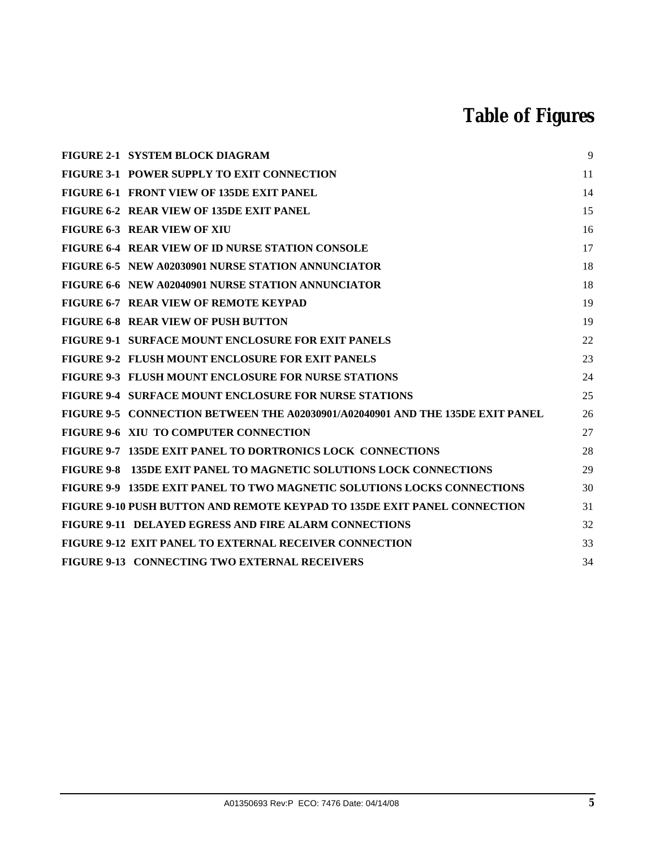# **Table of Figures**

| FIGURE 2-1 SYSTEM BLOCK DIAGRAM                                                | 9  |
|--------------------------------------------------------------------------------|----|
| <b>FIGURE 3-1 POWER SUPPLY TO EXIT CONNECTION</b>                              | 11 |
| FIGURE 6-1 FRONT VIEW OF 135DE EXIT PANEL                                      | 14 |
| FIGURE 6-2 REAR VIEW OF 135DE EXIT PANEL                                       | 15 |
| <b>FIGURE 6-3 REAR VIEW OF XIU</b>                                             | 16 |
| <b>FIGURE 6-4 REAR VIEW OF ID NURSE STATION CONSOLE</b>                        | 17 |
| FIGURE 6-5 NEW A02030901 NURSE STATION ANNUNCIATOR                             | 18 |
| FIGURE 6-6 NEW A02040901 NURSE STATION ANNUNCIATOR                             | 18 |
| FIGURE 6-7 REAR VIEW OF REMOTE KEYPAD                                          | 19 |
| FIGURE 6-8 REAR VIEW OF PUSH BUTTON                                            | 19 |
| <b>FIGURE 9-1 SURFACE MOUNT ENCLOSURE FOR EXIT PANELS</b>                      | 22 |
| FIGURE 9-2 FLUSH MOUNT ENCLOSURE FOR EXIT PANELS                               | 23 |
| <b>FIGURE 9-3 FLUSH MOUNT ENCLOSURE FOR NURSE STATIONS</b>                     | 24 |
| <b>FIGURE 9-4 SURFACE MOUNT ENCLOSURE FOR NURSE STATIONS</b>                   | 25 |
| FIGURE 9-5 CONNECTION BETWEEN THE A02030901/A02040901 AND THE 135DE EXIT PANEL | 26 |
| FIGURE 9-6 XIU TO COMPUTER CONNECTION                                          | 27 |
| FIGURE 9-7 135DE EXIT PANEL TO DORTRONICS LOCK CONNECTIONS                     | 28 |
| FIGURE 9-8 135DE EXIT PANEL TO MAGNETIC SOLUTIONS LOCK CONNECTIONS             | 29 |
| FIGURE 9-9 135DE EXIT PANEL TO TWO MAGNETIC SOLUTIONS LOCKS CONNECTIONS        | 30 |
| FIGURE 9-10 PUSH BUTTON AND REMOTE KEYPAD TO 135DE EXIT PANEL CONNECTION       | 31 |
| <b>FIGURE 9-11 DELAYED EGRESS AND FIRE ALARM CONNECTIONS</b>                   | 32 |
| <b>FIGURE 9-12 EXIT PANEL TO EXTERNAL RECEIVER CONNECTION</b>                  | 33 |
| FIGURE 9-13 CONNECTING TWO EXTERNAL RECEIVERS                                  | 34 |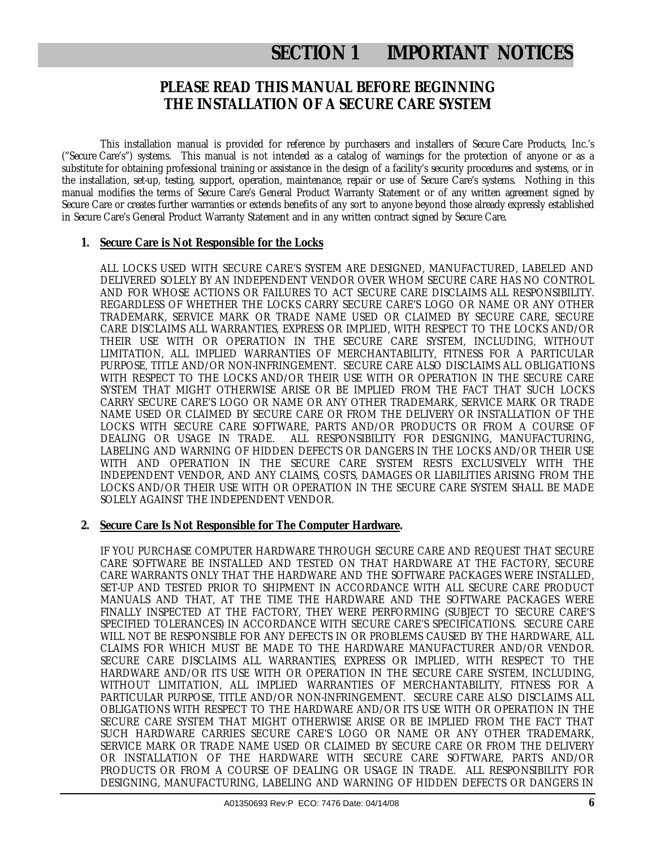# **SECTION 1 IMPORTANT NOTICES**

### **PLEASE READ THIS MANUAL BEFORE BEGINNING THE INSTALLATION OF A SECURE CARE SYSTEM**

This installation manual is provided for reference by purchasers and installers of Secure Care Products, Inc.'s ("Secure Care's") systems. This manual is not intended as a catalog of warnings for the protection of anyone or as a substitute for obtaining professional training or assistance in the design of a facility's security procedures and systems, or in the installation, set-up, testing, support, operation, maintenance, repair or use of Secure Care's systems. Nothing in this manual modifies the terms of Secure Care's General Product Warranty Statement or of any written agreement signed by Secure Care or creates further warranties or extends benefits of any sort to anyone beyond those already expressly established in Secure Care's General Product Warranty Statement and in any written contract signed by Secure Care.

#### **1. Secure Care is Not Responsible for the Locks**

ALL LOCKS USED WITH SECURE CARE'S SYSTEM ARE DESIGNED, MANUFACTURED, LABELED AND DELIVERED SOLELY BY AN INDEPENDENT VENDOR OVER WHOM SECURE CARE HAS NO CONTROL AND FOR WHOSE ACTIONS OR FAILURES TO ACT SECURE CARE DISCLAIMS ALL RESPONSIBILITY. REGARDLESS OF WHETHER THE LOCKS CARRY SECURE CARE'S LOGO OR NAME OR ANY OTHER TRADEMARK, SERVICE MARK OR TRADE NAME USED OR CLAIMED BY SECURE CARE, SECURE CARE DISCLAIMS ALL WARRANTIES, EXPRESS OR IMPLIED, WITH RESPECT TO THE LOCKS AND/OR THEIR USE WITH OR OPERATION IN THE SECURE CARE SYSTEM, INCLUDING, WITHOUT LIMITATION, ALL IMPLIED WARRANTIES OF MERCHANTABILITY, FITNESS FOR A PARTICULAR PURPOSE, TITLE AND/OR NON-INFRINGEMENT. SECURE CARE ALSO DISCLAIMS ALL OBLIGATIONS WITH RESPECT TO THE LOCKS AND/OR THEIR USE WITH OR OPERATION IN THE SECURE CARE SYSTEM THAT MIGHT OTHERWISE ARISE OR BE IMPLIED FROM THE FACT THAT SUCH LOCKS CARRY SECURE CARE'S LOGO OR NAME OR ANY OTHER TRADEMARK, SERVICE MARK OR TRADE NAME USED OR CLAIMED BY SECURE CARE OR FROM THE DELIVERY OR INSTALLATION OF THE LOCKS WITH SECURE CARE SOFTWARE, PARTS AND/OR PRODUCTS OR FROM A COURSE OF DEALING OR USAGE IN TRADE. ALL RESPONSIBILITY FOR DESIGNING, MANUFACTURING, LABELING AND WARNING OF HIDDEN DEFECTS OR DANGERS IN THE LOCKS AND/OR THEIR USE WITH AND OPERATION IN THE SECURE CARE SYSTEM RESTS EXCLUSIVELY WITH THE INDEPENDENT VENDOR, AND ANY CLAIMS, COSTS, DAMAGES OR LIABILITIES ARISING FROM THE LOCKS AND/OR THEIR USE WITH OR OPERATION IN THE SECURE CARE SYSTEM SHALL BE MADE SOLELY AGAINST THE INDEPENDENT VENDOR.

#### **2. Secure Care Is Not Responsible for The Computer Hardware.**

IF YOU PURCHASE COMPUTER HARDWARE THROUGH SECURE CARE AND REQUEST THAT SECURE CARE SOFTWARE BE INSTALLED AND TESTED ON THAT HARDWARE AT THE FACTORY, SECURE CARE WARRANTS ONLY THAT THE HARDWARE AND THE SOFTWARE PACKAGES WERE INSTALLED, SET-UP AND TESTED PRIOR TO SHIPMENT IN ACCORDANCE WITH ALL SECURE CARE PRODUCT MANUALS AND THAT, AT THE TIME THE HARDWARE AND THE SOFTWARE PACKAGES WERE FINALLY INSPECTED AT THE FACTORY, THEY WERE PERFORMING (SUBJECT TO SECURE CARE'S SPECIFIED TOLERANCES) IN ACCORDANCE WITH SECURE CARE'S SPECIFICATIONS. SECURE CARE WILL NOT BE RESPONSIBLE FOR ANY DEFECTS IN OR PROBLEMS CAUSED BY THE HARDWARE, ALL CLAIMS FOR WHICH MUST BE MADE TO THE HARDWARE MANUFACTURER AND/OR VENDOR. SECURE CARE DISCLAIMS ALL WARRANTIES, EXPRESS OR IMPLIED, WITH RESPECT TO THE HARDWARE AND/OR ITS USE WITH OR OPERATION IN THE SECURE CARE SYSTEM, INCLUDING, WITHOUT LIMITATION, ALL IMPLIED WARRANTIES OF MERCHANTABILITY, FITNESS FOR A PARTICULAR PURPOSE, TITLE AND/OR NON-INFRINGEMENT. SECURE CARE ALSO DISCLAIMS ALL OBLIGATIONS WITH RESPECT TO THE HARDWARE AND/OR ITS USE WITH OR OPERATION IN THE SECURE CARE SYSTEM THAT MIGHT OTHERWISE ARISE OR BE IMPLIED FROM THE FACT THAT SUCH HARDWARE CARRIES SECURE CARE'S LOGO OR NAME OR ANY OTHER TRADEMARK, SERVICE MARK OR TRADE NAME USED OR CLAIMED BY SECURE CARE OR FROM THE DELIVERY OR INSTALLATION OF THE HARDWARE WITH SECURE CARE SOFTWARE, PARTS AND/OR PRODUCTS OR FROM A COURSE OF DEALING OR USAGE IN TRADE. ALL RESPONSIBILITY FOR DESIGNING, MANUFACTURING, LABELING AND WARNING OF HIDDEN DEFECTS OR DANGERS IN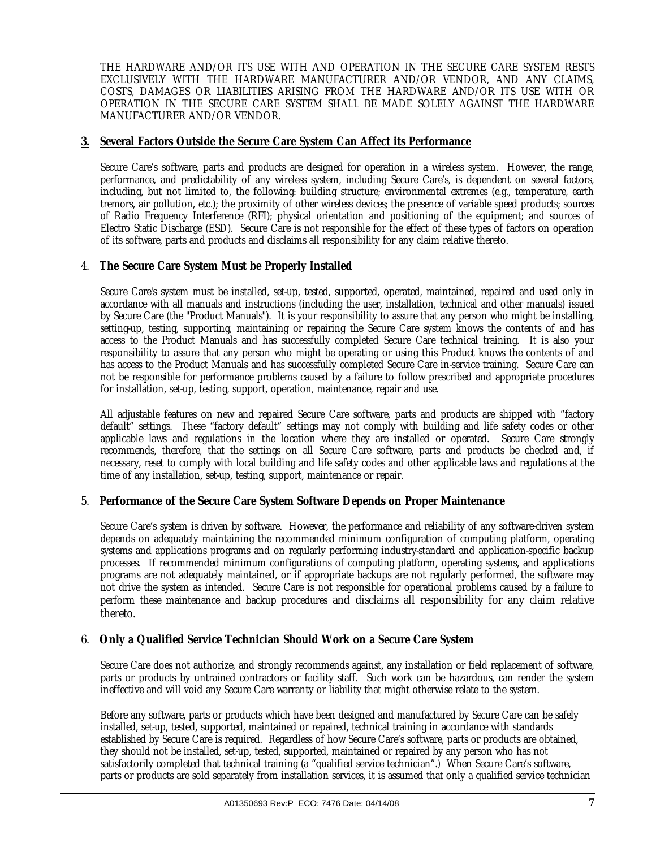THE HARDWARE AND/OR ITS USE WITH AND OPERATION IN THE SECURE CARE SYSTEM RESTS EXCLUSIVELY WITH THE HARDWARE MANUFACTURER AND/OR VENDOR, AND ANY CLAIMS, COSTS, DAMAGES OR LIABILITIES ARISING FROM THE HARDWARE AND/OR ITS USE WITH OR OPERATION IN THE SECURE CARE SYSTEM SHALL BE MADE SOLELY AGAINST THE HARDWARE MANUFACTURER AND/OR VENDOR.

#### **3. Several Factors Outside the Secure Care System Can Affect its Performance**

Secure Care's software, parts and products are designed for operation in a wireless system. However, the range, performance, and predictability of any wireless system, including Secure Care's, is dependent on several factors, including, but not limited to, the following: building structure; environmental extremes (e.g., temperature, earth tremors, air pollution, etc.); the proximity of other wireless devices; the presence of variable speed products; sources of Radio Frequency Interference (RFI); physical orientation and positioning of the equipment; and sources of Electro Static Discharge (ESD). Secure Care is not responsible for the effect of these types of factors on operation of its software, parts and products and disclaims all responsibility for any claim relative thereto.

#### 4. **The Secure Care System Must be Properly Installed**

Secure Care's system must be installed, set-up, tested, supported, operated, maintained, repaired and used only in accordance with all manuals and instructions (including the user, installation, technical and other manuals) issued by Secure Care (the "Product Manuals"). It is your responsibility to assure that any person who might be installing, setting-up, testing, supporting, maintaining or repairing the Secure Care system knows the contents of and has access to the Product Manuals and has successfully completed Secure Care technical training. It is also your responsibility to assure that any person who might be operating or using this Product knows the contents of and has access to the Product Manuals and has successfully completed Secure Care in-service training. Secure Care can not be responsible for performance problems caused by a failure to follow prescribed and appropriate procedures for installation, set-up, testing, support, operation, maintenance, repair and use.

All adjustable features on new and repaired Secure Care software, parts and products are shipped with "factory default" settings. These "factory default" settings may not comply with building and life safety codes or other applicable laws and regulations in the location where they are installed or operated. Secure Care strongly recommends, therefore, that the settings on all Secure Care software, parts and products be checked and, if necessary, reset to comply with local building and life safety codes and other applicable laws and regulations at the time of any installation, set-up, testing, support, maintenance or repair.

#### 5. **Performance of the Secure Care System Software Depends on Proper Maintenance**

Secure Care's system is driven by software. However, the performance and reliability of any software-driven system depends on adequately maintaining the recommended minimum configuration of computing platform, operating systems and applications programs and on regularly performing industry-standard and application-specific backup processes. If recommended minimum configurations of computing platform, operating systems, and applications programs are not adequately maintained, or if appropriate backups are not regularly performed, the software may not drive the system as intended. Secure Care is not responsible for operational problems caused by a failure to perform these maintenance and backup procedures and disclaims all responsibility for any claim relative thereto.

#### 6. **Only a Qualified Service Technician Should Work on a Secure Care System**

Secure Care does not authorize, and strongly recommends against, any installation or field replacement of software, parts or products by untrained contractors or facility staff. Such work can be hazardous, can render the system ineffective and will void any Secure Care warranty or liability that might otherwise relate to the system.

Before any software, parts or products which have been designed and manufactured by Secure Care can be safely installed, set-up, tested, supported, maintained or repaired, technical training in accordance with standards established by Secure Care is required. Regardless of how Secure Care's software, parts or products are obtained, they should not be installed, set-up, tested, supported, maintained or repaired by any person who has not satisfactorily completed that technical training (a "qualified service technician".) When Secure Care's software, parts or products are sold separately from installation services, it is assumed that only a qualified service technician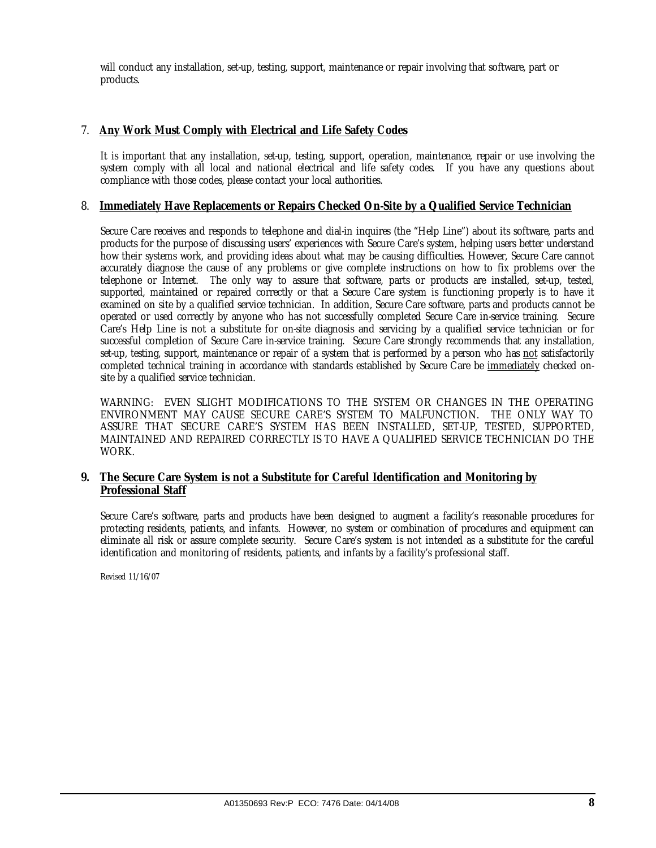will conduct any installation, set-up, testing, support, maintenance or repair involving that software, part or products.

### 7. **Any Work Must Comply with Electrical and Life Safety Codes**

It is important that any installation, set-up, testing, support, operation, maintenance, repair or use involving the system comply with all local and national electrical and life safety codes. If you have any questions about compliance with those codes, please contact your local authorities.

#### 8. **Immediately Have Replacements or Repairs Checked On-Site by a Qualified Service Technician**

Secure Care receives and responds to telephone and dial-in inquires (the "Help Line") about its software, parts and products for the purpose of discussing users' experiences with Secure Care's system, helping users better understand how their systems work, and providing ideas about what may be causing difficulties. However, Secure Care cannot accurately diagnose the cause of any problems or give complete instructions on how to fix problems over the telephone or Internet. The only way to assure that software, parts or products are installed, set-up, tested, supported, maintained or repaired correctly or that a Secure Care system is functioning properly is to have it examined on site by a qualified service technician. In addition, Secure Care software, parts and products cannot be operated or used correctly by anyone who has not successfully completed Secure Care in-service training. Secure Care's Help Line is not a substitute for on-site diagnosis and servicing by a qualified service technician or for successful completion of Secure Care in-service training. Secure Care strongly recommends that any installation, set-up, testing, support, maintenance or repair of a system that is performed by a person who has not satisfactorily completed technical training in accordance with standards established by Secure Care be immediately checked onsite by a qualified service technician.

WARNING: EVEN SLIGHT MODIFICATIONS TO THE SYSTEM OR CHANGES IN THE OPERATING ENVIRONMENT MAY CAUSE SECURE CARE'S SYSTEM TO MALFUNCTION. THE ONLY WAY TO ASSURE THAT SECURE CARE'S SYSTEM HAS BEEN INSTALLED, SET-UP, TESTED, SUPPORTED, MAINTAINED AND REPAIRED CORRECTLY IS TO HAVE A QUALIFIED SERVICE TECHNICIAN DO THE WORK.

#### **9. The Secure Care System is not a Substitute for Careful Identification and Monitoring by Professional Staff**

Secure Care's software, parts and products have been designed to augment a facility's reasonable procedures for protecting residents, patients, and infants. However, no system or combination of procedures and equipment can eliminate all risk or assure complete security. Secure Care's system is not intended as a substitute for the careful identification and monitoring of residents, patients, and infants by a facility's professional staff.

Revised 11/16/07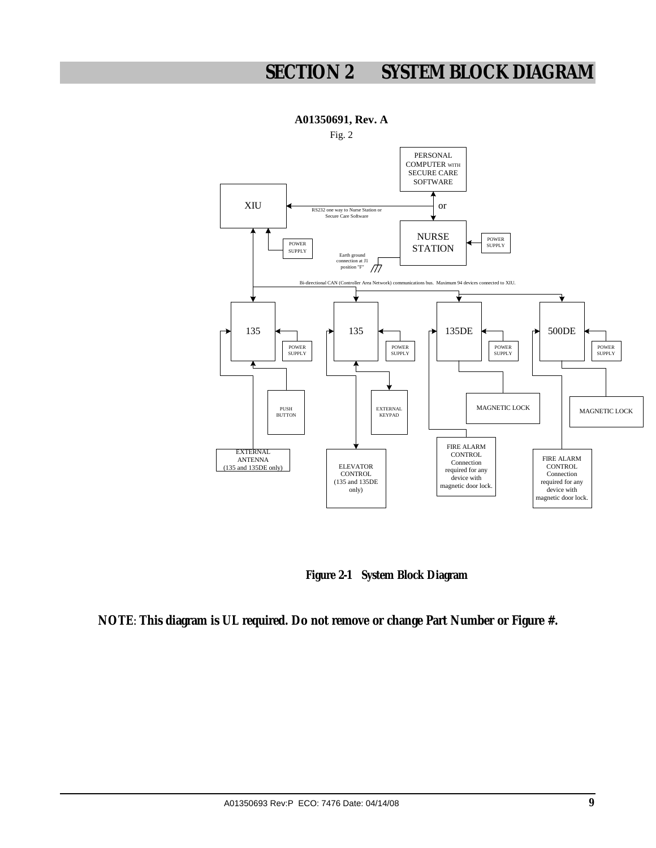# **SECTION 2 SYSTEM BLOCK DIAGRAM**



 **Figure 2-1 System Block Diagram** 

**NOTE**: **This diagram is UL required. Do not remove or change Part Number or Figure #.**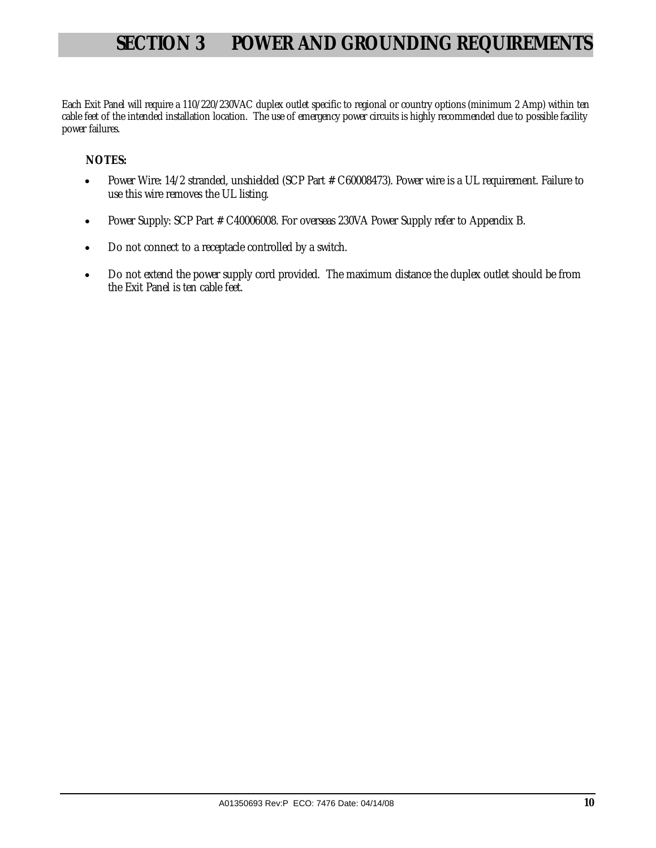# **SECTION 3 POWER AND GROUNDING REQUIREMENTS**

Each Exit Panel will require a 110/220/230VAC duplex outlet specific to regional or country options (minimum 2 Amp) within ten cable feet of the intended installation location. The use of emergency power circuits is highly recommended due to possible facility power failures.

### **NOTES:**

- Power Wire: 14/2 stranded, unshielded (SCP Part # C60008473). Power wire is a UL requirement. Failure to use this wire removes the UL listing.
- Power Supply: SCP Part # C40006008. For overseas 230VA Power Supply refer to Appendix B.
- Do not connect to a receptacle controlled by a switch.
- Do not extend the power supply cord provided. The maximum distance the duplex outlet should be from the Exit Panel is ten cable feet.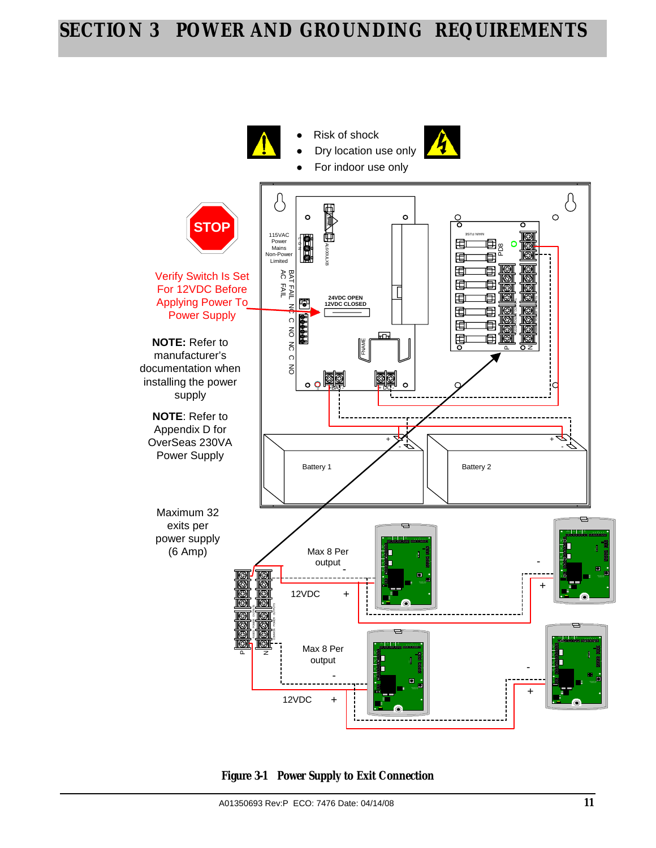# **SECTION 3 POWER AND GROUNDING REQUIREMENTS**



**Figure 3-1 Power Supply to Exit Connection**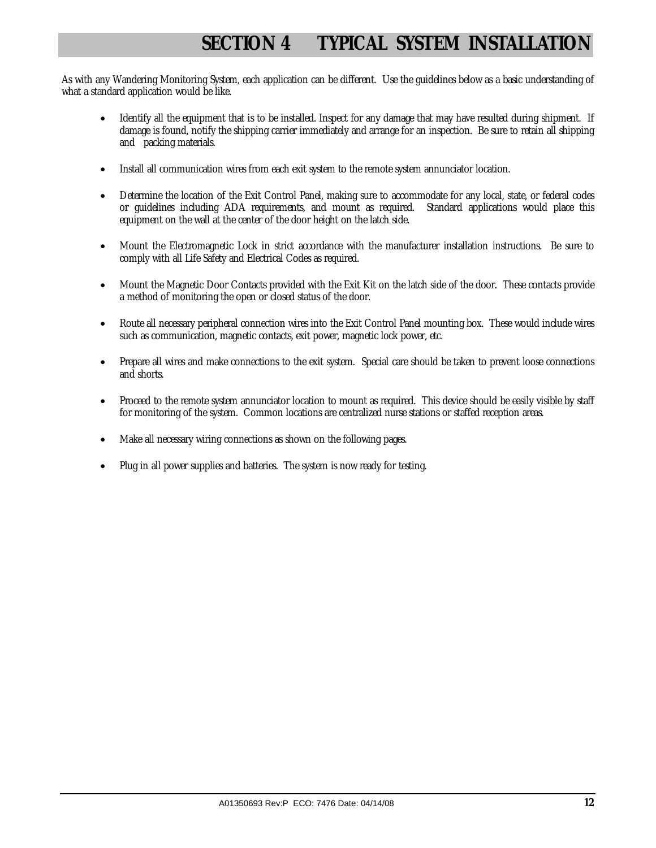# **SECTION 4 TYPICAL SYSTEM INSTALLATION**

As with any Wandering Monitoring System, each application can be different. Use the guidelines below as a basic understanding of what a standard application would be like.

- Identify all the equipment that is to be installed. Inspect for any damage that may have resulted during shipment. If damage is found, notify the shipping carrier immediately and arrange for an inspection. Be sure to retain all shipping and packing materials.
- Install all communication wires from each exit system to the remote system annunciator location.
- Determine the location of the Exit Control Panel, making sure to accommodate for any local, state, or federal codes or guidelines including ADA requirements, and mount as required. Standard applications would place this equipment on the wall at the center of the door height on the latch side.
- Mount the Electromagnetic Lock in strict accordance with the manufacturer installation instructions. Be sure to comply with all Life Safety and Electrical Codes as required.
- Mount the Magnetic Door Contacts provided with the Exit Kit on the latch side of the door. These contacts provide a method of monitoring the open or closed status of the door.
- Route all necessary peripheral connection wires into the Exit Control Panel mounting box. These would include wires such as communication, magnetic contacts, exit power, magnetic lock power, etc.
- Prepare all wires and make connections to the exit system. Special care should be taken to prevent loose connections and shorts.
- Proceed to the remote system annunciator location to mount as required. This device should be easily visible by staff for monitoring of the system. Common locations are centralized nurse stations or staffed reception areas.
- Make all necessary wiring connections as shown on the following pages.
- Plug in all power supplies and batteries. The system is now ready for testing.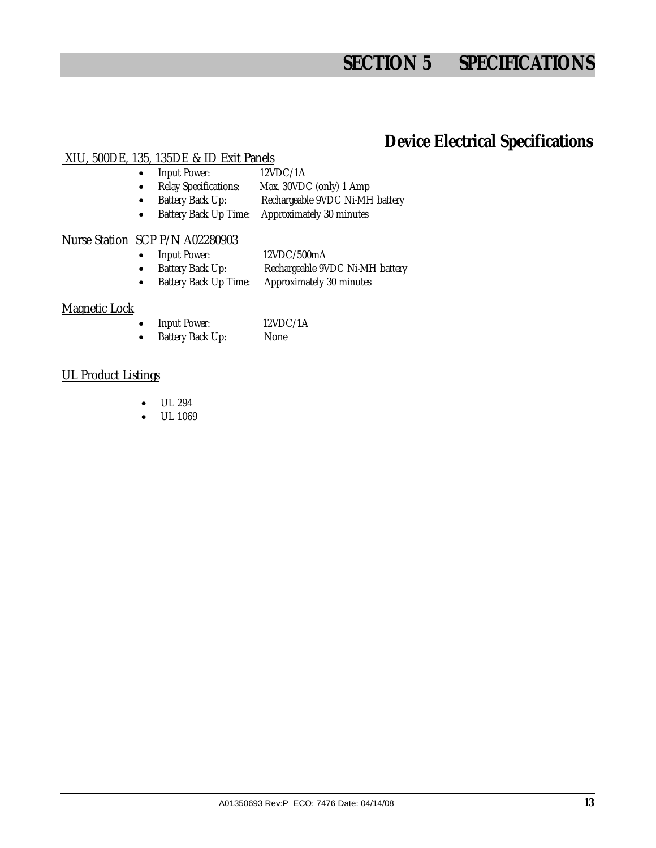# **SECTION 5 SPECIFICATIONS**

### **Device Electrical Specifications**

### XIU, 500DE, 135, 135DE & ID Exit Panels

- Input Power: 12VDC/1A
- Relay Specifications: Max. 30VDC (only) 1 Amp
- Battery Back Up: Rechargeable 9VDC Ni-MH battery
- Battery Back Up Time: Approximately 30 minutes

### Nurse Station SCP P/N A02280903

- Input Power: 12VDC/500mA
- Battery Back Up: Rechargeable 9VDC Ni-MH battery
- Battery Back Up Time: Approximately 30 minutes

### Magnetic Lock

- Input Power: 12VDC/1A
	- Battery Back Up: None

### UL Product Listings

- UL 294
- UL 1069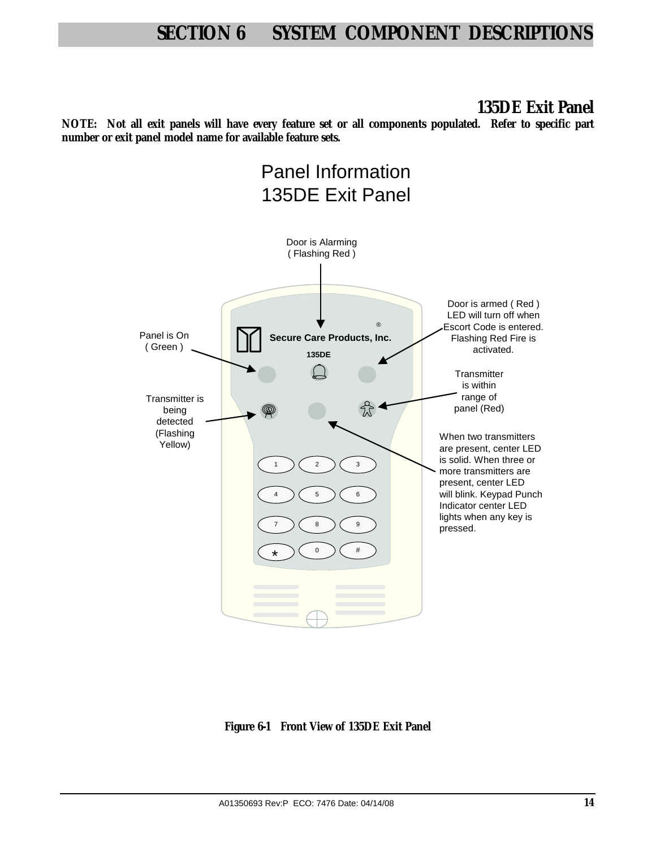**135DE Exit Panel** 

**NOTE: Not all exit panels will have every feature set or all components populated. Refer to specific part number or exit panel model name for available feature sets.**



**Figure 6-1 Front View of 135DE Exit Panel**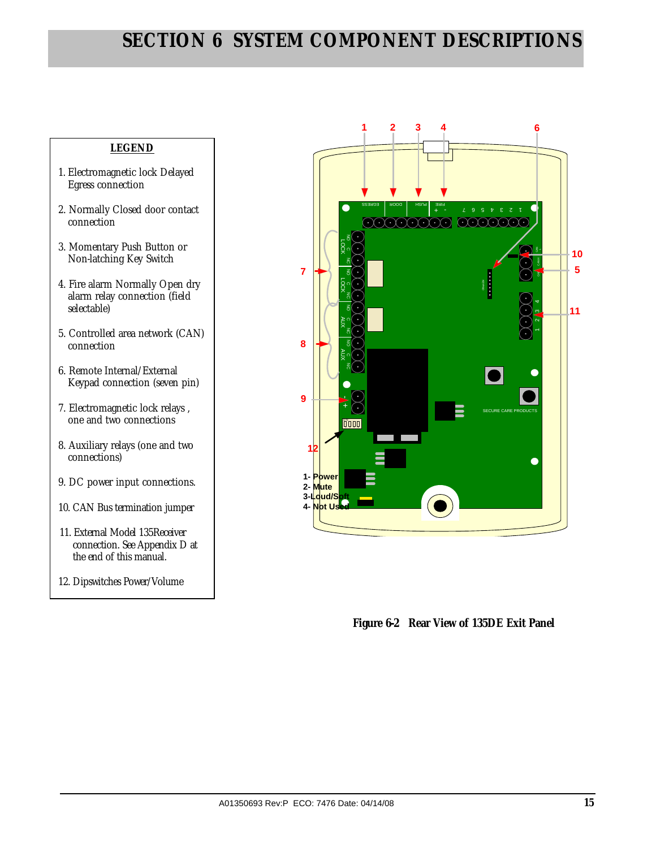### **LEGEND**

- 1. Electromagnetic lock Delayed Egress connection
- 2. Normally Closed door contact connection
- 3. Momentary Push Button or Non-latching Key Switch
- 4. Fire alarm Normally Open dry alarm relay connection (field selectable)
- 5. Controlled area network (CAN) connection
- 6. Remote Internal/External Keypad connection (seven pin)
- 7. Electromagnetic lock relays , one and two connections
- 8. Auxiliary relays (one and two connections)
- 9. DC power input connections.
- 10. CAN Bus termination jumper
- 11. External Model 135Receiver connection. See Appendix D at the end of this manual.
- 12. Dipswitches Power/Volume



 **Figure 6-2 Rear View of 135DE Exit Panel**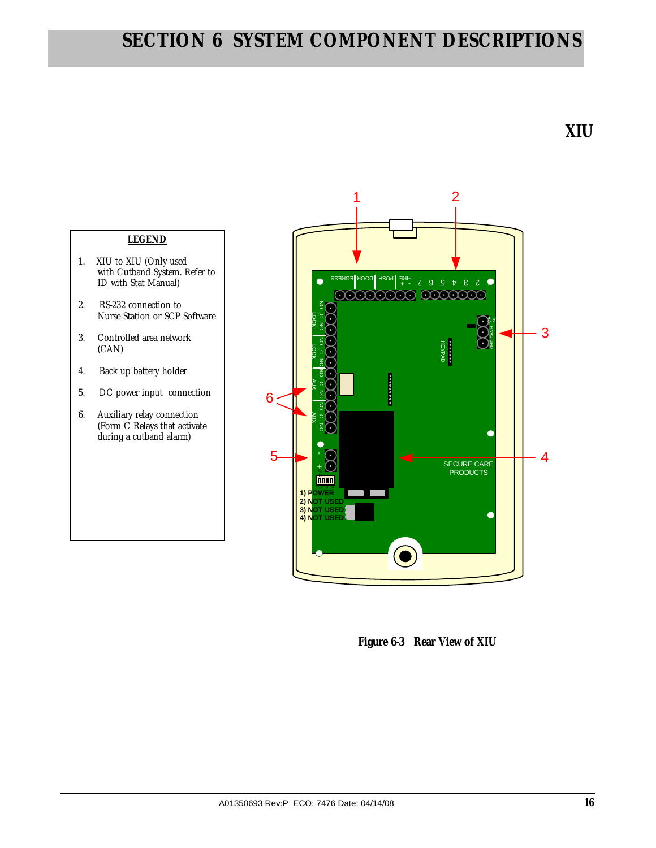

(CAN)

 **Figure 6-3 Rear View of XIU**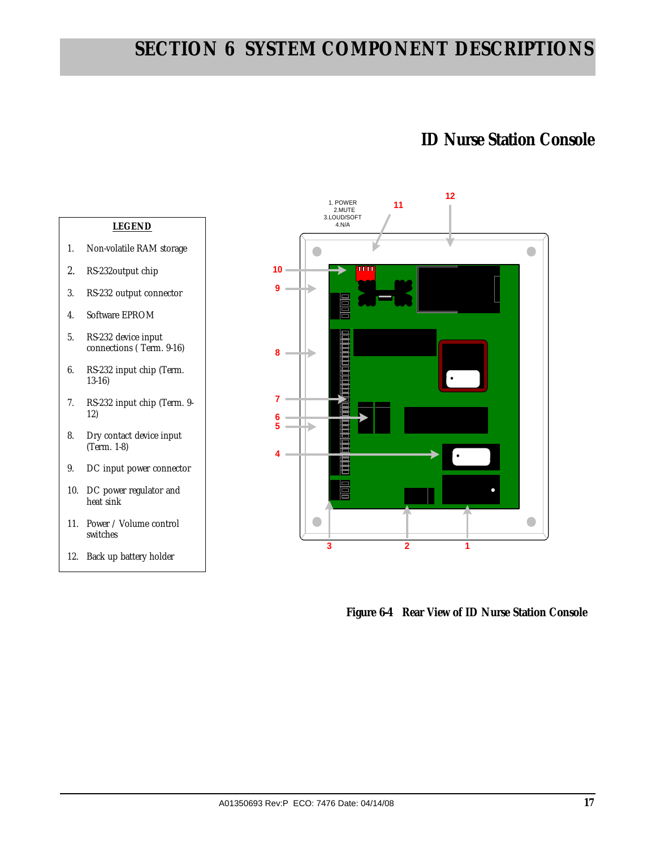### **ID Nurse Station Console**

#### **LEGEND**

- 1. Non-volatile RAM storage
- 2. RS-232output chip
- 3. RS-232 output connector
- 4. Software EPROM
- 5. RS-232 device input connections ( Term. 9-16)
- 6. RS-232 input chip (Term. 13-16)
- 7. RS-232 input chip (Term. 9- 12)
- 8. Dry contact device input (Term. 1-8)
- 9. DC input power connector
- 10. DC power regulator and heat sink
- 11. Power / Volume control switches
- 12. Back up battery holder



 **Figure 6-4 Rear View of ID Nurse Station Console**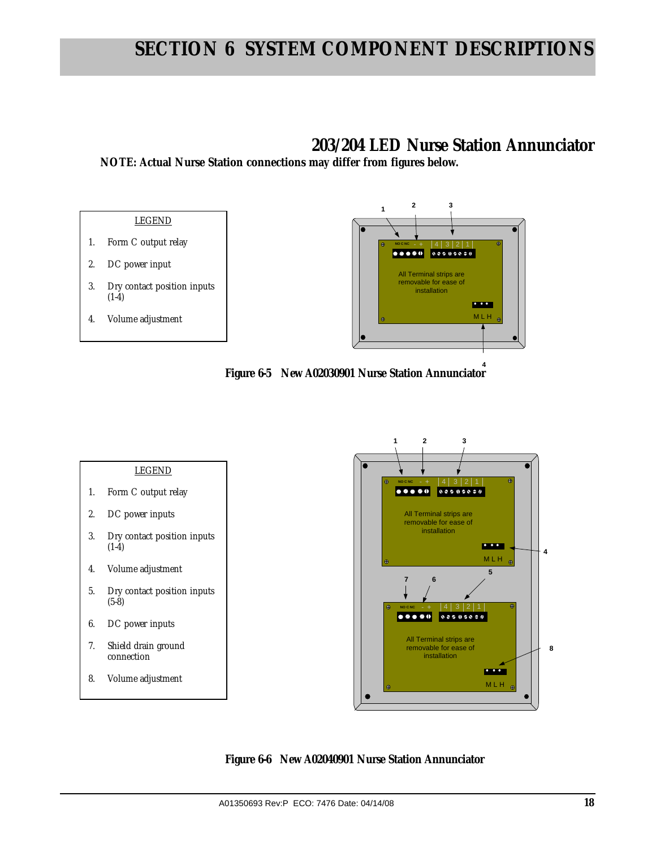### **203/204 LED Nurse Station Annunciator**

**NOTE: Actual Nurse Station connections may differ from figures below.** 



- 1. Form C output relay
- 2. DC power input
- 3. Dry contact position inputs  $(1-4)$
- 4. Volume adjustment









**8**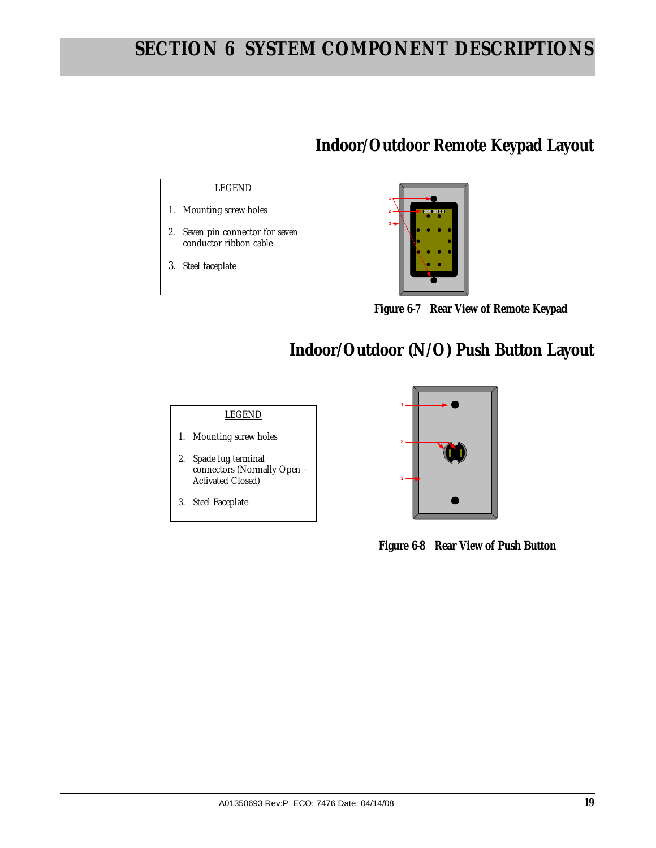# **Indoor/Outdoor Remote Keypad Layout**

### LEGEND

- 1. Mounting screw holes
- 2. Seven pin connector for seven conductor ribbon cable
- 3. Steel faceplate

# **1 2 3**

 **Figure 6-7 Rear View of Remote Keypad** 

# **Indoor/Outdoor (N/O) Push Button Layout**

### LEGEND

- 1. Mounting screw holes
- 2. Spade lug terminal connectors (Normally Open – Activated Closed)
- 3. Steel Faceplate



 **Figure 6-8 Rear View of Push Button**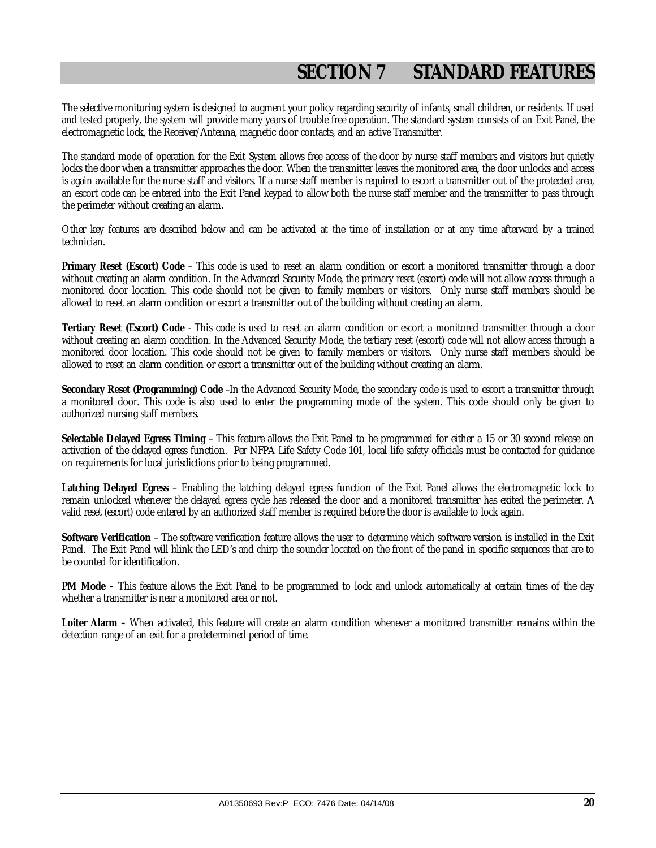# **SECTION 7 STANDARD FEATURES**

The selective monitoring system is designed to augment your policy regarding security of infants, small children, or residents. If used and tested properly, the system will provide many years of trouble free operation. The standard system consists of an Exit Panel, the electromagnetic lock, the Receiver/Antenna, magnetic door contacts, and an active Transmitter.

The standard mode of operation for the Exit System allows free access of the door by nurse staff members and visitors but quietly locks the door when a transmitter approaches the door. When the transmitter leaves the monitored area, the door unlocks and access is again available for the nurse staff and visitors. If a nurse staff member is required to escort a transmitter out of the protected area, an escort code can be entered into the Exit Panel keypad to allow both the nurse staff member and the transmitter to pass through the perimeter without creating an alarm.

Other key features are described below and can be activated at the time of installation or at any time afterward by a trained technician.

**Primary Reset (Escort) Code** – This code is used to reset an alarm condition or escort a monitored transmitter through a door without creating an alarm condition. In the Advanced Security Mode, the primary reset (escort) code will not allow access through a monitored door location. This code should not be given to family members or visitors. Only nurse staff members should be allowed to reset an alarm condition or escort a transmitter out of the building without creating an alarm.

**Tertiary Reset (Escort) Code** - This code is used to reset an alarm condition or escort a monitored transmitter through a door without creating an alarm condition. In the Advanced Security Mode, the tertiary reset (escort) code will not allow access through a monitored door location. This code should not be given to family members or visitors. Only nurse staff members should be allowed to reset an alarm condition or escort a transmitter out of the building without creating an alarm.

**Secondary Reset (Programming) Code** –In the Advanced Security Mode, the secondary code is used to escort a transmitter through a monitored door. This code is also used to enter the programming mode of the system. This code should only be given to authorized nursing staff members.

**Selectable Delayed Egress Timing** – This feature allows the Exit Panel to be programmed for either a 15 or 30 second release on activation of the delayed egress function. Per NFPA Life Safety Code 101, local life safety officials must be contacted for guidance on requirements for local jurisdictions prior to being programmed.

**Latching Delayed Egress** – Enabling the latching delayed egress function of the Exit Panel allows the electromagnetic lock to remain unlocked whenever the delayed egress cycle has released the door and a monitored transmitter has exited the perimeter. A valid reset (escort) code entered by an authorized staff member is required before the door is available to lock again.

**Software Verification** – The software verification feature allows the user to determine which software version is installed in the Exit Panel. The Exit Panel will blink the LED's and chirp the sounder located on the front of the panel in specific sequences that are to be counted for identification.

**PM Mode –** This feature allows the Exit Panel to be programmed to lock and unlock automatically at certain times of the day whether a transmitter is near a monitored area or not.

**Loiter Alarm –** When activated, this feature will create an alarm condition whenever a monitored transmitter remains within the detection range of an exit for a predetermined period of time.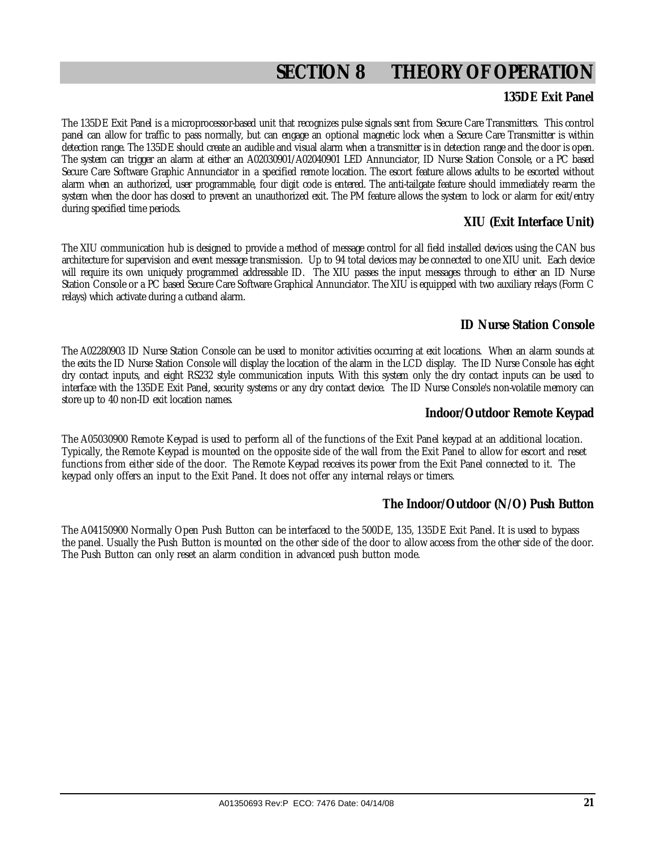# **SECTION 8 THEORY OF OPERATION**

### **135DE Exit Panel**

The 135DE Exit Panel is a microprocessor-based unit that recognizes pulse signals sent from Secure Care Transmitters. This control panel can allow for traffic to pass normally, but can engage an optional magnetic lock when a Secure Care Transmitter is within detection range. The 135DE should create an audible and visual alarm when a transmitter is in detection range and the door is open. The system can trigger an alarm at either an A02030901/A02040901 LED Annunciator, ID Nurse Station Console, or a PC based Secure Care Software Graphic Annunciator in a specified remote location. The escort feature allows adults to be escorted without alarm when an authorized, user programmable, four digit code is entered. The anti-tailgate feature should immediately re-arm the system when the door has closed to prevent an unauthorized exit. The PM feature allows the system to lock or alarm for exit/entry during specified time periods.

### **XIU (Exit Interface Unit)**

The XIU communication hub is designed to provide a method of message control for all field installed devices using the CAN bus architecture for supervision and event message transmission. Up to 94 total devices may be connected to one XIU unit. Each device will require its own uniquely programmed addressable ID. The XIU passes the input messages through to either an ID Nurse Station Console or a PC based Secure Care Software Graphical Annunciator. The XIU is equipped with two auxiliary relays (Form C relays) which activate during a cutband alarm.

### **ID Nurse Station Console**

The A02280903 ID Nurse Station Console can be used to monitor activities occurring at exit locations. When an alarm sounds at the exits the ID Nurse Station Console will display the location of the alarm in the LCD display. The ID Nurse Console has eight dry contact inputs, and eight RS232 style communication inputs. With this system only the dry contact inputs can be used to interface with the 135DE Exit Panel, security systems or any dry contact device. The ID Nurse Console's non-volatile memory can store up to 40 non-ID exit location names.

### **Indoor/Outdoor Remote Keypad**

The A05030900 Remote Keypad is used to perform all of the functions of the Exit Panel keypad at an additional location. Typically, the Remote Keypad is mounted on the opposite side of the wall from the Exit Panel to allow for escort and reset functions from either side of the door. The Remote Keypad receives its power from the Exit Panel connected to it. The keypad only offers an input to the Exit Panel. It does not offer any internal relays or timers.

### **The Indoor/Outdoor (N/O) Push Button**

The A04150900 Normally Open Push Button can be interfaced to the 500DE, 135, 135DE Exit Panel. It is used to bypass the panel. Usually the Push Button is mounted on the other side of the door to allow access from the other side of the door. The Push Button can only reset an alarm condition in advanced push button mode.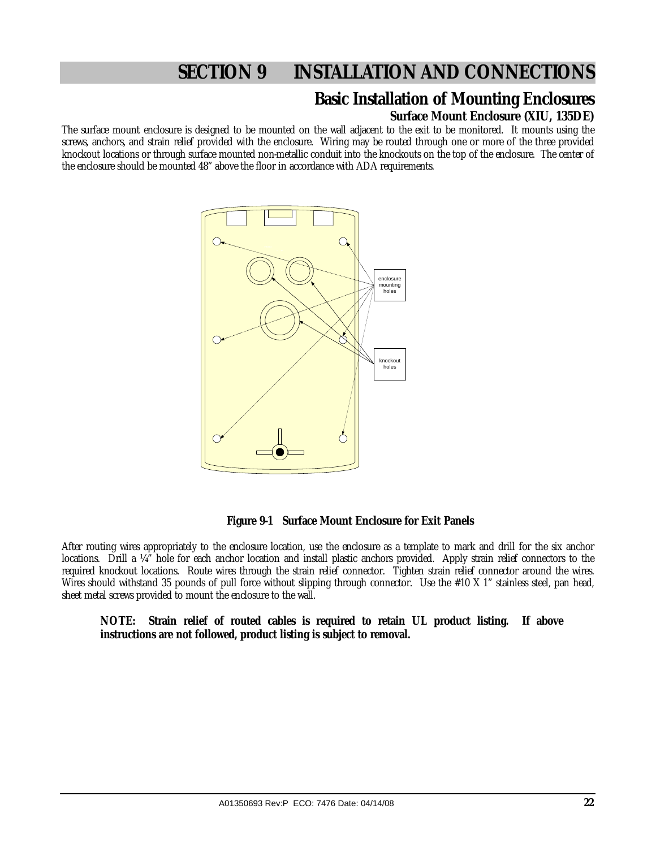### **Basic Installation of Mounting Enclosures Surface Mount Enclosure (XIU, 135DE)**

The surface mount enclosure is designed to be mounted on the wall adjacent to the exit to be monitored. It mounts using the screws, anchors, and strain relief provided with the enclosure. Wiring may be routed through one or more of the three provided knockout locations or through surface mounted non-metallic conduit into the knockouts on the top of the enclosure. The center of the enclosure should be mounted 48" above the floor in accordance with ADA requirements.



 **Figure 9-1 Surface Mount Enclosure for Exit Panels** 

After routing wires appropriately to the enclosure location, use the enclosure as a template to mark and drill for the six anchor locations. Drill a ¼" hole for each anchor location and install plastic anchors provided. Apply strain relief connectors to the required knockout locations. Route wires through the strain relief connector. Tighten strain relief connector around the wires. Wires should withstand 35 pounds of pull force without slipping through connector. Use the #10 X 1" stainless steel, pan head, sheet metal screws provided to mount the enclosure to the wall.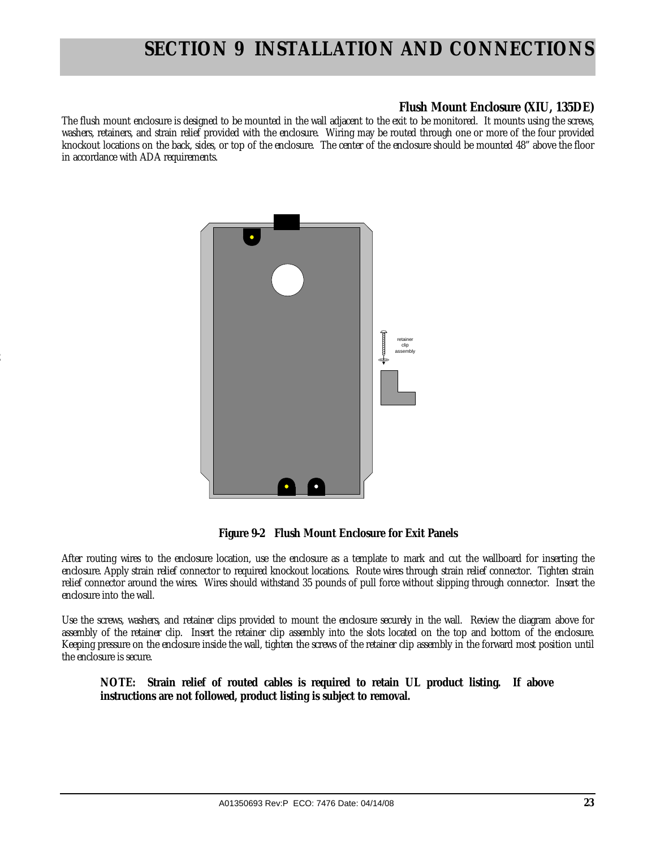### **Flush Mount Enclosure (XIU, 135DE)**

The flush mount enclosure is designed to be mounted in the wall adjacent to the exit to be monitored. It mounts using the screws, washers, retainers, and strain relief provided with the enclosure. Wiring may be routed through one or more of the four provided knockout locations on the back, sides, or top of the enclosure. The center of the enclosure should be mounted 48" above the floor in accordance with ADA requirements.



2

 **Figure 9-2 Flush Mount Enclosure for Exit Panels** 

After routing wires to the enclosure location, use the enclosure as a template to mark and cut the wallboard for inserting the enclosure. Apply strain relief connector to required knockout locations. Route wires through strain relief connector. Tighten strain relief connector around the wires. Wires should withstand 35 pounds of pull force without slipping through connector. Insert the enclosure into the wall.

Use the screws, washers, and retainer clips provided to mount the enclosure securely in the wall. Review the diagram above for assembly of the retainer clip. Insert the retainer clip assembly into the slots located on the top and bottom of the enclosure. Keeping pressure on the enclosure inside the wall, tighten the screws of the retainer clip assembly in the forward most position until the enclosure is secure.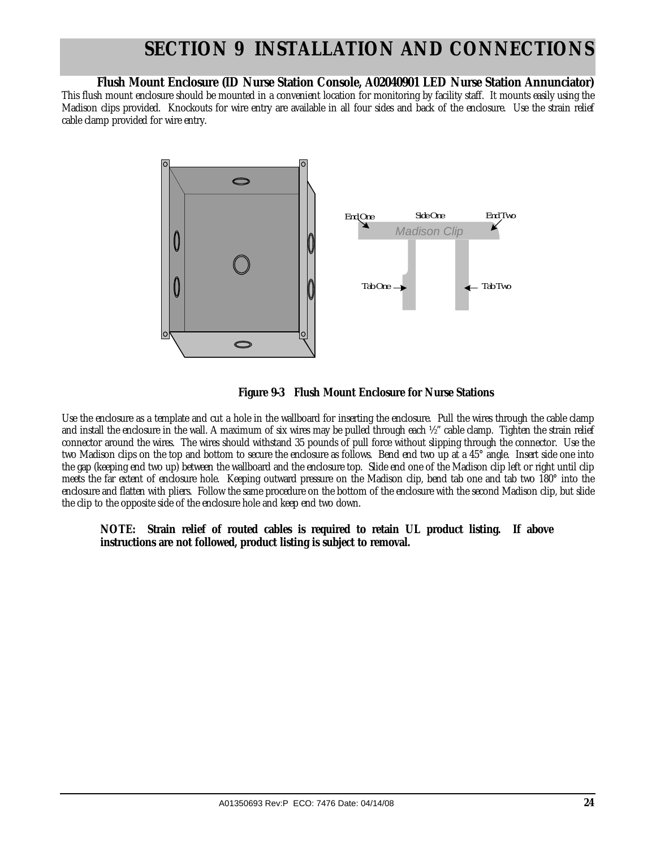### **Flush Mount Enclosure (ID Nurse Station Console, A02040901 LED Nurse Station Annunciator)**

This flush mount enclosure should be mounted in a convenient location for monitoring by facility staff. It mounts easily using the Madison clips provided. Knockouts for wire entry are available in all four sides and back of the enclosure. Use the strain relief cable clamp provided for wire entry.





Use the enclosure as a template and cut a hole in the wallboard for inserting the enclosure. Pull the wires through the cable clamp and install the enclosure in the wall. A maximum of six wires may be pulled through each ½" cable clamp. Tighten the strain relief connector around the wires. The wires should withstand 35 pounds of pull force without slipping through the connector. Use the two Madison clips on the top and bottom to secure the enclosure as follows. Bend end two up at a 45° angle. Insert side one into the gap (keeping end two up) between the wallboard and the enclosure top. Slide end one of the Madison clip left or right until clip meets the far extent of enclosure hole. Keeping outward pressure on the Madison clip, bend tab one and tab two 180° into the enclosure and flatten with pliers. Follow the same procedure on the bottom of the enclosure with the second Madison clip, but slide the clip to the opposite side of the enclosure hole and keep end two down.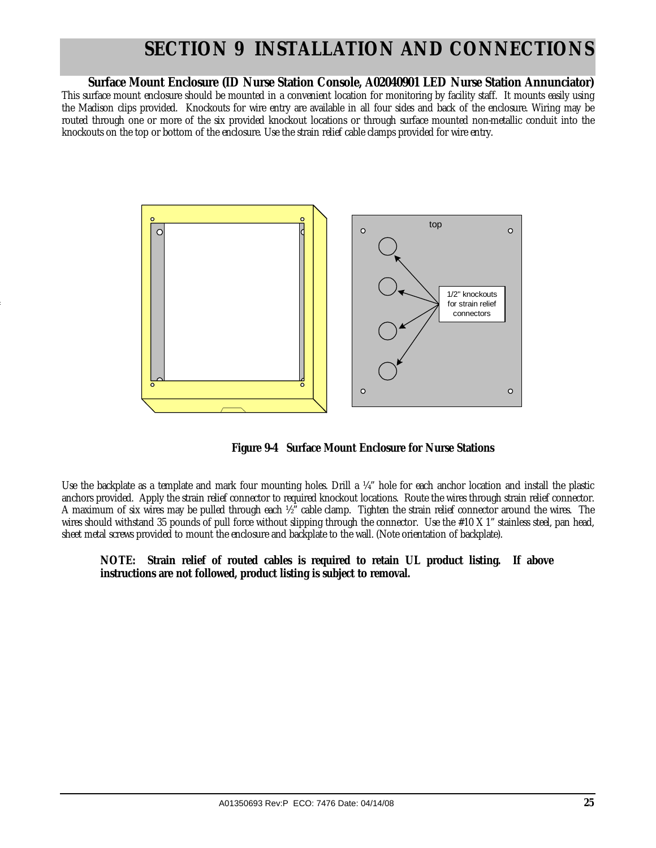### **Surface Mount Enclosure (ID Nurse Station Console, A02040901 LED Nurse Station Annunciator)**

This surface mount enclosure should be mounted in a convenient location for monitoring by facility staff. It mounts easily using the Madison clips provided. Knockouts for wire entry are available in all four sides and back of the enclosure. Wiring may be routed through one or more of the six provided knockout locations or through surface mounted non-metallic conduit into the knockouts on the top or bottom of the enclosure. Use the strain relief cable clamps provided for wire entry.



4

 **Figure 9-4 Surface Mount Enclosure for Nurse Stations** 

Use the backplate as a template and mark four mounting holes. Drill a ¼" hole for each anchor location and install the plastic anchors provided. Apply the strain relief connector to required knockout locations. Route the wires through strain relief connector. A maximum of six wires may be pulled through each ½" cable clamp. Tighten the strain relief connector around the wires. The wires should withstand 35 pounds of pull force without slipping through the connector. Use the #10 X 1" stainless steel, pan head, sheet metal screws provided to mount the enclosure and backplate to the wall. (Note orientation of backplate).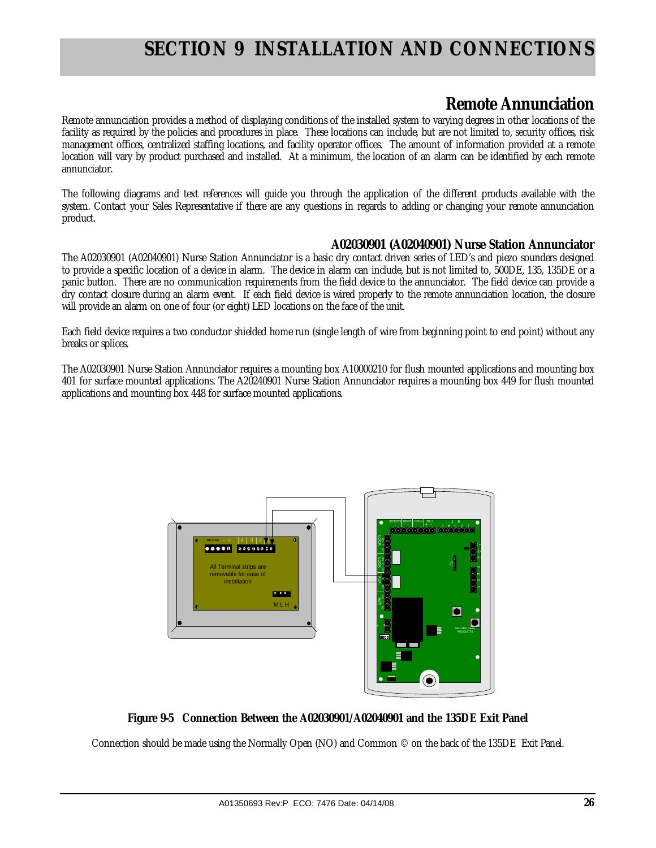### **Remote Annunciation**

Remote annunciation provides a method of displaying conditions of the installed system to varying degrees in other locations of the facility as required by the policies and procedures in place. These locations can include, but are not limited to, security offices, risk management offices, centralized staffing locations, and facility operator offices. The amount of information provided at a remote location will vary by product purchased and installed. At a minimum, the location of an alarm can be identified by each remote annunciator.

The following diagrams and text references will guide you through the application of the different products available with the system. Contact your Sales Representative if there are any questions in regards to adding or changing your remote annunciation product.

### **A02030901 (A02040901) Nurse Station Annunciator**

The A02030901 (A02040901) Nurse Station Annunciator is a basic dry contact driven series of LED's and piezo sounders designed to provide a specific location of a device in alarm. The device in alarm can include, but is not limited to, 500DE, 135, 135DE or a panic button. There are no communication requirements from the field device to the annunciator. The field device can provide a dry contact closure during an alarm event. If each field device is wired properly to the remote annunciation location, the closure will provide an alarm on one of four (or eight) LED locations on the face of the unit.

Each field device requires a two conductor shielded home run (single length of wire from beginning point to end point) without any breaks or splices.

The A02030901 Nurse Station Annunciator requires a mounting box A10000210 for flush mounted applications and mounting box 401 for surface mounted applications. The A20240901 Nurse Station Annunciator requires a mounting box 449 for flush mounted applications and mounting box 448 for surface mounted applications.



**Figure 9-5 Connection Between the A02030901/A02040901 and the 135DE Exit Panel** 

Connection should be made using the Normally Open (NO) and Common © on the back of the 135DE Exit Panel.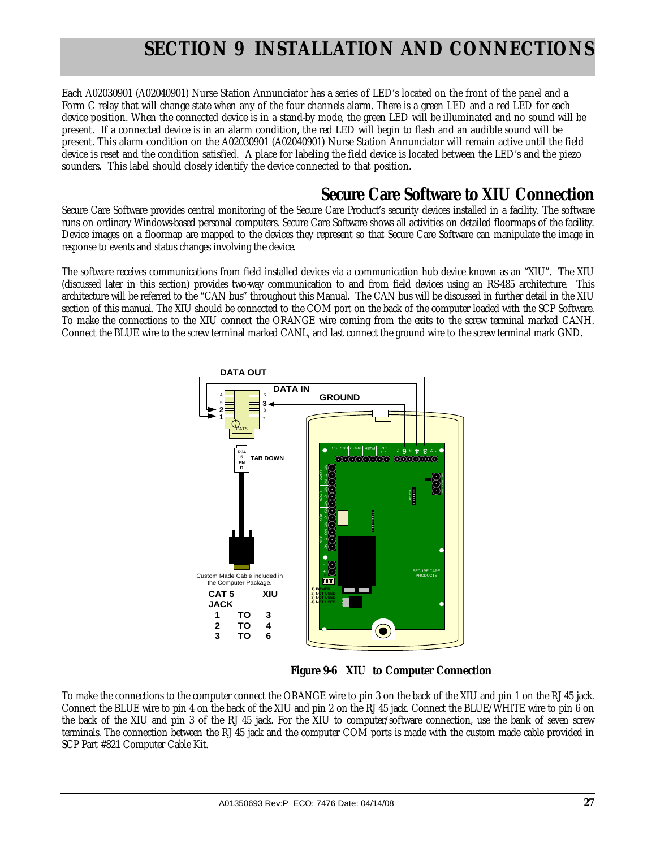Each A02030901 (A02040901) Nurse Station Annunciator has a series of LED's located on the front of the panel and a Form C relay that will change state when any of the four channels alarm. There is a green LED and a red LED for each device position. When the connected device is in a stand-by mode, the green LED will be illuminated and no sound will be present. If a connected device is in an alarm condition, the red LED will begin to flash and an audible sound will be present. This alarm condition on the A02030901 (A02040901) Nurse Station Annunciator will remain active until the field device is reset and the condition satisfied. A place for labeling the field device is located between the LED's and the piezo sounders. This label should closely identify the device connected to that position.

### **Secure Care Software to XIU Connection**

Secure Care Software provides central monitoring of the Secure Care Product's security devices installed in a facility. The software runs on ordinary Windows-based personal computers. Secure Care Software shows all activities on detailed floormaps of the facility. Device images on a floormap are mapped to the devices they represent so that Secure Care Software can manipulate the image in response to events and status changes involving the device.

The software receives communications from field installed devices via a communication hub device known as an "XIU". The XIU (discussed later in this section) provides two-way communication to and from field devices using an RS-485 architecture. This architecture will be referred to the "CAN bus" throughout this Manual. The CAN bus will be discussed in further detail in the XIU section of this manual. The XIU should be connected to the COM port on the back of the computer loaded with the SCP Software. To make the connections to the XIU connect the ORANGE wire coming from the exits to the screw terminal marked CANH. Connect the BLUE wire to the screw terminal marked CANL, and last connect the ground wire to the screw terminal mark GND.



 **Figure 9-6 XIU to Computer Connection** 

To make the connections to the computer connect the ORANGE wire to pin 3 on the back of the XIU and pin 1 on the RJ 45 jack. Connect the BLUE wire to pin 4 on the back of the XIU and pin 2 on the RJ 45 jack. Connect the BLUE/WHITE wire to pin 6 on the back of the XIU and pin 3 of the RJ 45 jack. For the XIU to computer/software connection, use the bank of seven screw terminals. The connection between the RJ 45 jack and the computer COM ports is made with the custom made cable provided in SCP Part #821 Computer Cable Kit.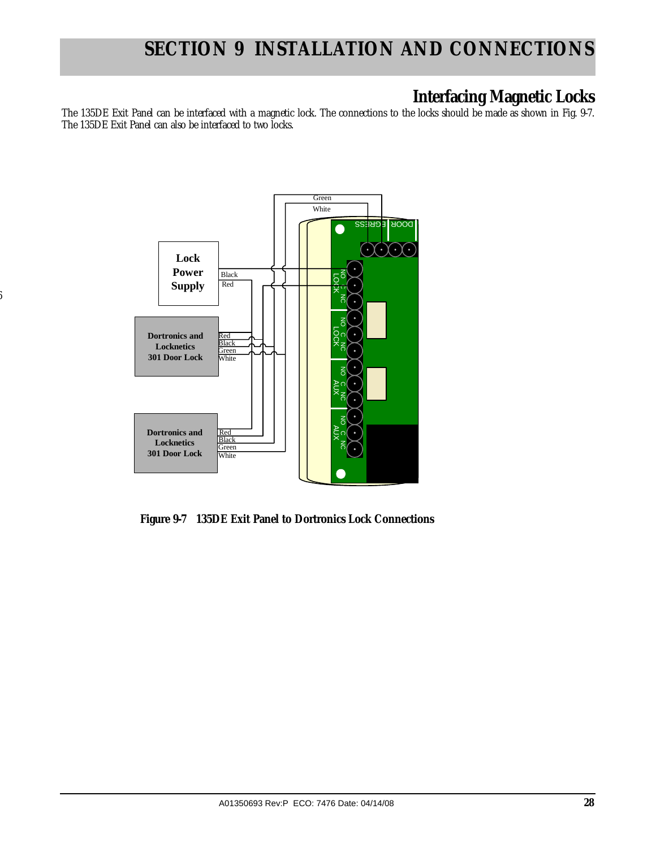### **Interfacing Magnetic Locks**

The 135DE Exit Panel can be interfaced with a magnetic lock. The connections to the locks should be made as shown in Fig. 9-7. The 135DE Exit Panel can also be interfaced to two locks.



6

 **Figure 9-7 135DE Exit Panel to Dortronics Lock Connections**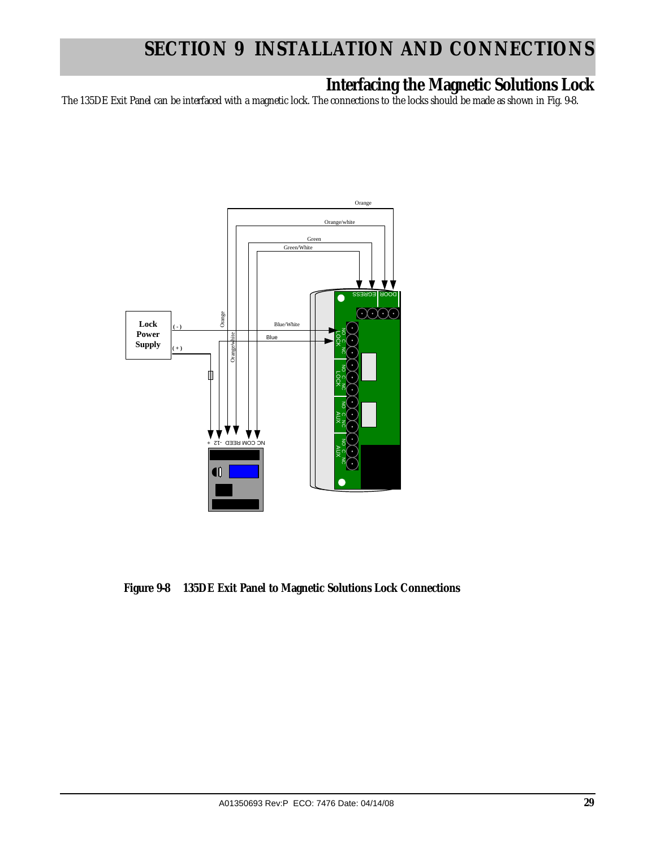### **Interfacing the Magnetic Solutions Lock**

The 135DE Exit Panel can be interfaced with a magnetic lock. The connections to the locks should be made as shown in Fig. 9-8.



 **Figure 9-8 135DE Exit Panel to Magnetic Solutions Lock Connections**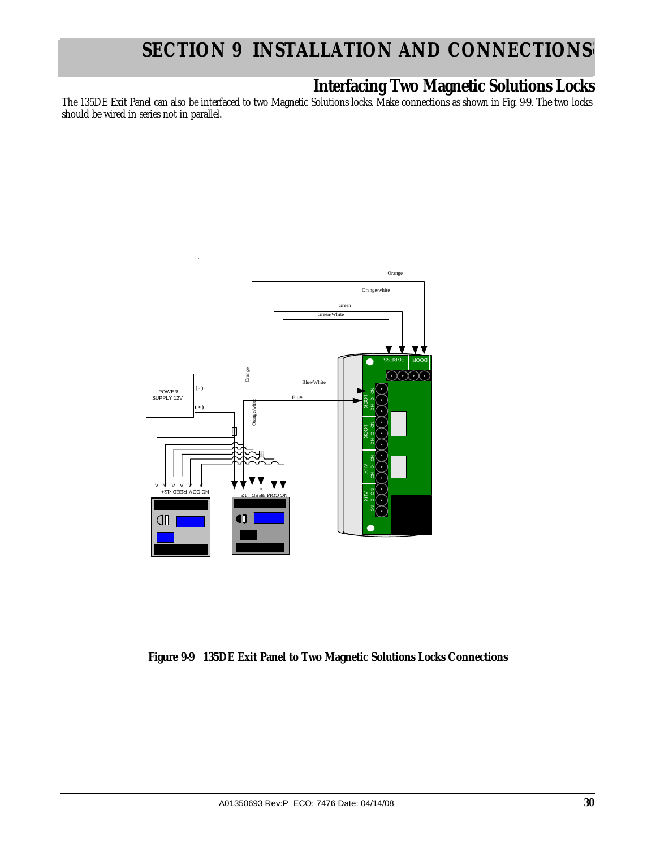### **Interfacing Two Magnetic Solutions Locks**

The 135DE Exit Panel can also be interfaced to two Magnetic Solutions locks. Make connections as shown in Fig. 9-9. The two locks should be wired in series not in parallel.



**Figure 9-9 135DE Exit Panel to Two Magnetic Solutions Locks Connections**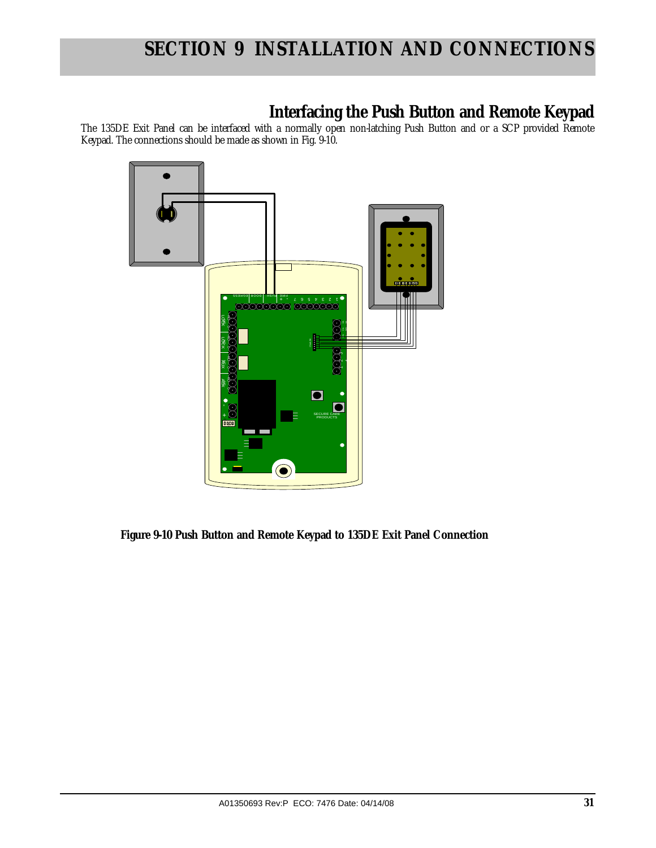### **Interfacing the Push Button and Remote Keypad**

The 135DE Exit Panel can be interfaced with a normally open non-latching Push Button and or a SCP provided Remote Keypad. The connections should be made as shown in Fig. 9-10.



 **Figure 9-10 Push Button and Remote Keypad to 135DE Exit Panel Connection**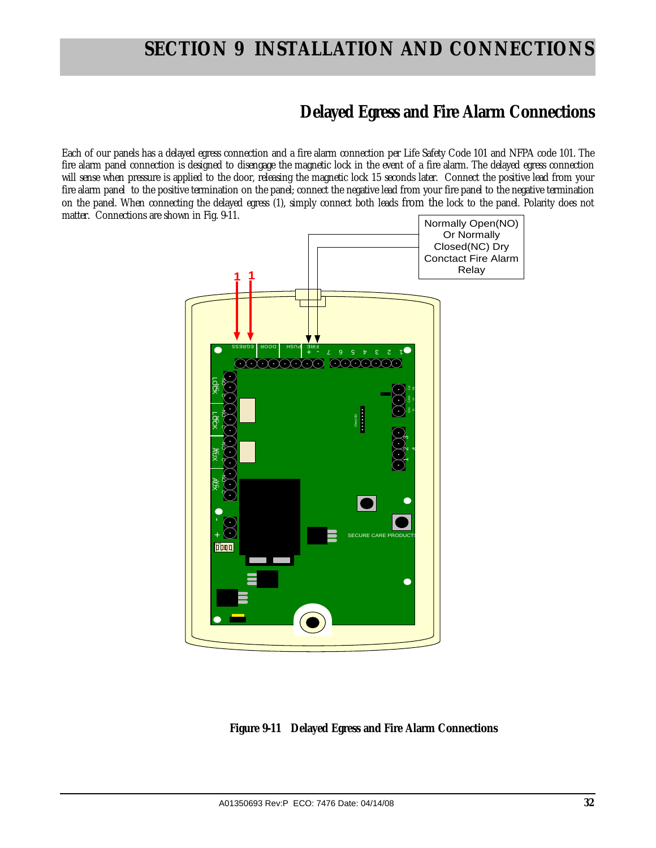### **Delayed Egress and Fire Alarm Connections**

Each of our panels has a delayed egress connection and a fire alarm connection per Life Safety Code 101 and NFPA code 101. The fire alarm panel connection is designed to disengage the magnetic lock in the event of a fire alarm. The delayed egress connection will sense when pressure is applied to the door, releasing the magnetic lock 15 seconds later. Connect the positive lead from your fire alarm panel to the positive termination on the panel; connect the negative lead from your fire panel to the negative termination on the panel. When connecting the delayed egress (1), simply connect both leads from the lock to the panel. Polarity does not matter. Connections are shown in Fig. 9-11.



 **Figure 9-11 Delayed Egress and Fire Alarm Connections**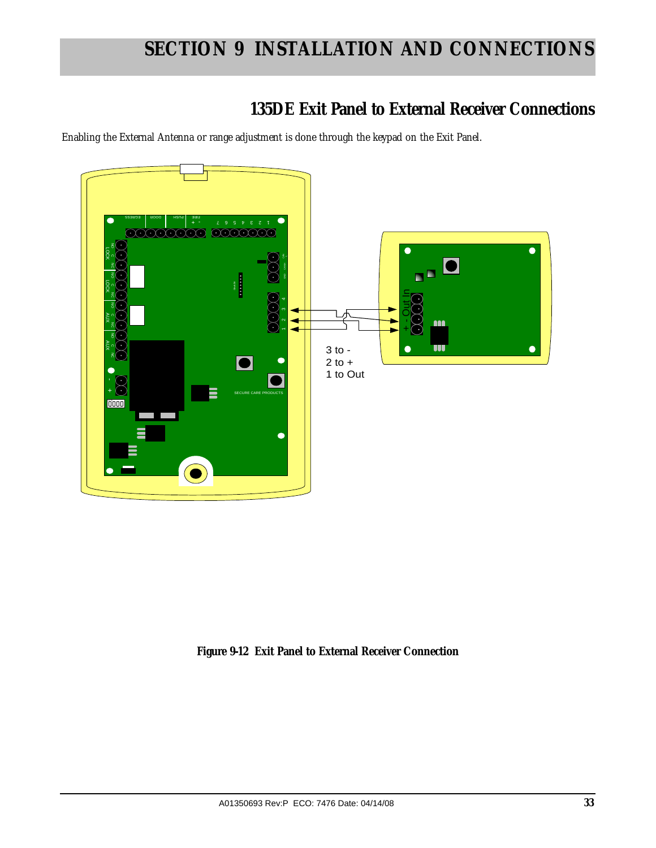### **135DE Exit Panel to External Receiver Connections**

Enabling the External Antenna or range adjustment is done through the keypad on the Exit Panel.



**Figure 9-12 Exit Panel to External Receiver Connection**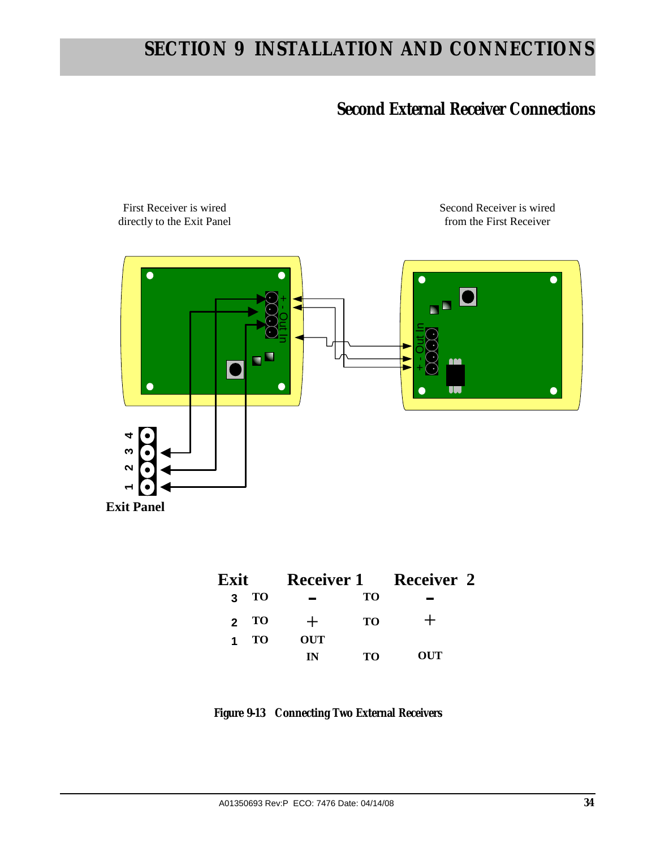### **Second External Receiver Connections**

Second Receiver is wired



First Receiver is wired

| Exit               |                  | <b>Receiver 1</b> | <b>Receiver 2</b> |  |
|--------------------|------------------|-------------------|-------------------|--|
| 3                  | <b>TO</b>        | TО                |                   |  |
| TO<br>$\mathbf{p}$ |                  | <b>TO</b>         |                   |  |
| 1                  | <b>OUT</b><br>TО |                   |                   |  |
|                    | IN               | TО                | OUT               |  |

**Figure 9-13 Connecting Two External Receivers**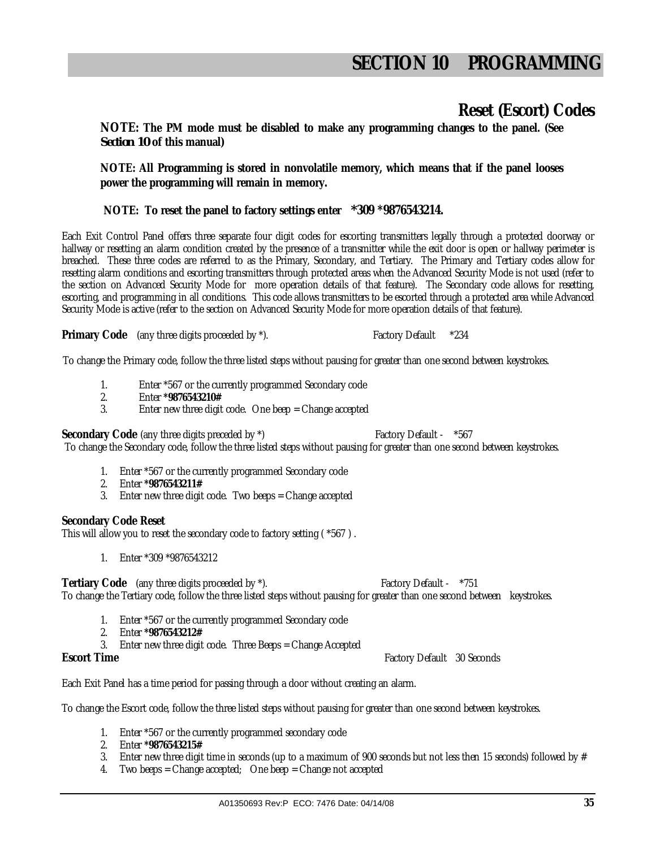### **Reset (Escort) Codes**

**NOTE: The PM mode must be disabled to make any programming changes to the panel. (See** *Section 10* **of this manual)** 

**NOTE: All Programming is stored in nonvolatile memory, which means that if the panel looses power the programming will remain in memory.** 

 **NOTE: To reset the panel to factory settings enter** *\****309 \*9876543214.**

Each Exit Control Panel offers three separate four digit codes for escorting transmitters legally through a protected doorway or hallway or resetting an alarm condition created by the presence of a transmitter while the exit door is open or hallway perimeter is breached. These three codes are referred to as the Primary, Secondary, and Tertiary. The Primary and Tertiary codes allow for resetting alarm conditions and escorting transmitters through protected areas when the Advanced Security Mode is not used (refer to the section on Advanced Security Mode for more operation details of that feature). The Secondary code allows for resetting, escorting, and programming in all conditions. This code allows transmitters to be escorted through a protected area while Advanced Security Mode is active (refer to the section on Advanced Security Mode for more operation details of that feature).

**Primary Code** (any three digits proceeded by  $*$ ). Factory Default  $*234$ 

To change the Primary code, follow the three listed steps without pausing for greater than one second between keystrokes.

- 1. Enter \*567 or the currently programmed Secondary code<br>2 Finter \*9876543210#
- 2. Enter **\*9876543210#**
- Enter new three digit code. One beep  $=$  Change accepted

**Secondary Code** (any three digits preceded by  $*$ ) Factory Default -  $*567$ 

To change the Secondary code, follow the three listed steps without pausing for greater than one second between keystrokes.

- 1. Enter \*567 or the currently programmed Secondary code
- 2. Enter **\*9876543211#**
- 3. Enter new three digit code. Two beeps = Change accepted

#### **Secondary Code Reset**

This will allow you to reset the secondary code to factory setting ( \*567 ) .

1. Enter \*309 \*9876543212

**Tertiary Code** (any three digits proceeded by  $*$ ). Factory Default -  $*751$ 

To change the Tertiary code, follow the three listed steps without pausing for greater than one second between keystrokes.

- 1. Enter \*567 or the currently programmed Secondary code
- 2. Enter **\*9876543212#**
- 3. Enter new three digit code. Three Beeps = Change Accepted

**Escort Time** Factory Default 30 Seconds

Each Exit Panel has a time period for passing through a door without creating an alarm.

To change the Escort code, follow the three listed steps without pausing for greater than one second between keystrokes.

- 1. Enter \*567 or the currently programmed secondary code
- 2. Enter **\*9876543215#**
- 3. Enter new three digit time in seconds (up to a maximum of 900 seconds but not less then 15 seconds) followed by  $#$
- 4. Two beeps = Change accepted; One beep = Change not accepted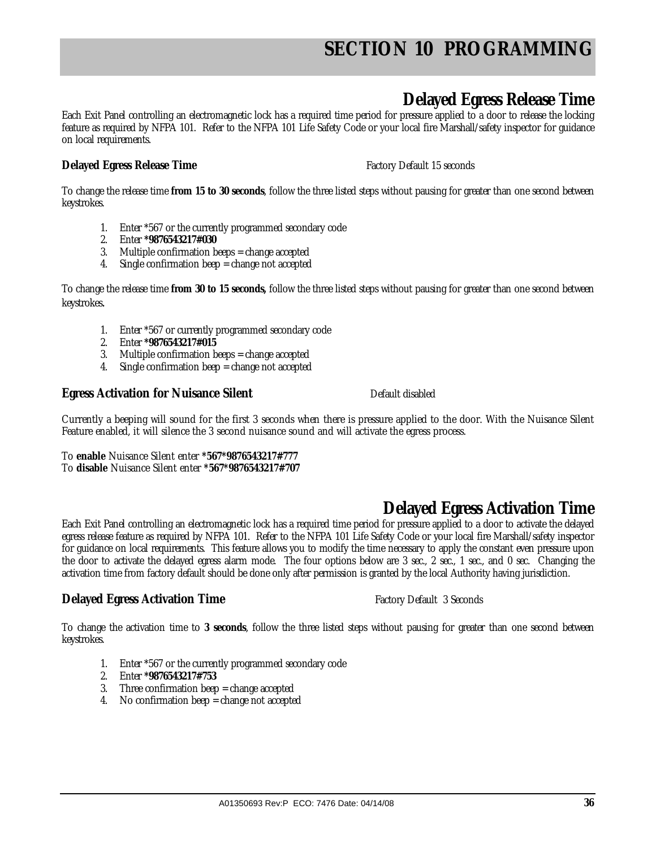# **Delayed Egress Release Time**

Each Exit Panel controlling an electromagnetic lock has a required time period for pressure applied to a door to release the locking feature as required by NFPA 101. Refer to the NFPA 101 Life Safety Code or your local fire Marshall/safety inspector for guidance on local requirements.

### **Delayed Egress Release Time Factory Default 15 seconds Delayed Egress Release Time**

To change the release time **from 15 to 30 seconds**, follow the three listed steps without pausing for greater than one second between keystrokes.

- 1. Enter \*567 or the currently programmed secondary code
- 2. Enter **\*9876543217#030**
- 3. Multiple confirmation beeps = change accepted
- 4. Single confirmation beep = change not accepted

To change the release time **from 30 to 15 seconds,** follow the three listed steps without pausing for greater than one second between keystrokes.

- 1. Enter \*567 or currently programmed secondary code
- 2. Enter **\*9876543217#015**
- 3. Multiple confirmation beeps = change accepted
- 4. Single confirmation beep = change not accepted

### **Egress Activation for Nuisance Silent** Default disabled

Currently a beeping will sound for the first 3 seconds when there is pressure applied to the door. With the Nuisance Silent Feature enabled, it will silence the 3 second nuisance sound and will activate the egress process.

To **enable** Nuisance Silent enter **\*567\*9876543217#777** To **disable** Nuisance Silent enter **\*567\*9876543217#707**

# **Delayed Egress Activation Time**

Each Exit Panel controlling an electromagnetic lock has a required time period for pressure applied to a door to activate the delayed egress release feature as required by NFPA 101. Refer to the NFPA 101 Life Safety Code or your local fire Marshall/safety inspector for guidance on local requirements. This feature allows you to modify the time necessary to apply the constant even pressure upon the door to activate the delayed egress alarm mode. The four options below are 3 sec., 2 sec., 1 sec., and 0 sec. Changing the activation time from factory default should be done only after permission is granted by the local Authority having jurisdiction.

### **Delayed Egress Activation Time** Factory Default 3 Seconds

To change the activation time to **3 seconds**, follow the three listed steps without pausing for greater than one second between keystrokes.

- 1. Enter \*567 or the currently programmed secondary code
- 2. Enter **\*9876543217#753**
- 3. Three confirmation beep = change accepted
- 4. No confirmation beep = change not accepted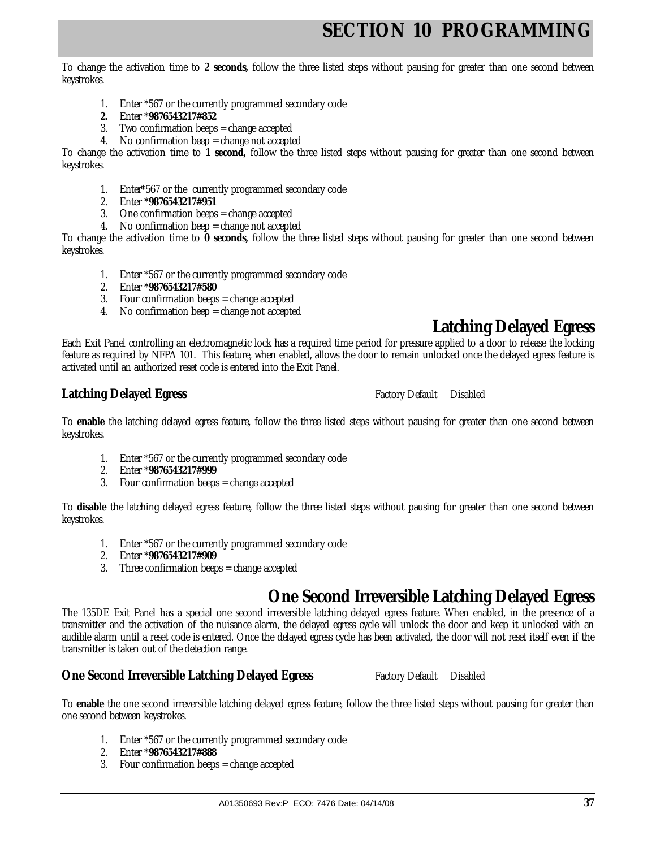To change the activation time to **2 seconds,** follow the three listed steps without pausing for greater than one second between keystrokes.

- 1. Enter \*567 or the currently programmed secondary code
- **2.** Enter **\*9876543217#852**
- 3. Two confirmation beeps = change accepted
- 4. No confirmation beep = change not accepted

To change the activation time to **1 second,** follow the three listed steps without pausing for greater than one second between keystrokes.

- 1. Enter\*567 or the currently programmed secondary code
- 2. Enter **\*9876543217#951**
- 3. One confirmation beeps = change accepted
- 4. No confirmation beep = change not accepted

To change the activation time to **0 seconds,** follow the three listed steps without pausing for greater than one second between keystrokes.

- 1. Enter \*567 or the currently programmed secondary code
- 2. Enter **\*9876543217#580**
- 3. Four confirmation beeps = change accepted
- 4. No confirmation beep = change not accepted

### **Latching Delayed Egress**

Each Exit Panel controlling an electromagnetic lock has a required time period for pressure applied to a door to release the locking feature as required by NFPA 101. This feature, when enabled, allows the door to remain unlocked once the delayed egress feature is activated until an authorized reset code is entered into the Exit Panel.

### **Latching Delayed Egress <b>Factory** Beautiful Disabled **Latching Delayed Egress Factory Default** Disabled

To **enable** the latching delayed egress feature, follow the three listed steps without pausing for greater than one second between keystrokes.

- 1. Enter \*567 or the currently programmed secondary code
- 2. Enter **\*9876543217#999**
- 3. Four confirmation beeps = change accepted

To **disable** the latching delayed egress feature, follow the three listed steps without pausing for greater than one second between keystrokes.

- 1. Enter \*567 or the currently programmed secondary code
- 2. Enter **\*9876543217#909**
- 3. Three confirmation beeps = change accepted

### **One Second Irreversible Latching Delayed Egress**

The 135DE Exit Panel has a special one second irreversible latching delayed egress feature. When enabled, in the presence of a transmitter and the activation of the nuisance alarm, the delayed egress cycle will unlock the door and keep it unlocked with an audible alarm until a reset code is entered. Once the delayed egress cycle has been activated, the door will not reset itself even if the transmitter is taken out of the detection range.

#### **One Second Irreversible Latching Delayed Egress** Factory Default Disabled

To **enable** the one second irreversible latching delayed egress feature, follow the three listed steps without pausing for greater than one second between keystrokes.

- 1. Enter \*567 or the currently programmed secondary code
- 2. Enter **\*9876543217#888**
- 3. Four confirmation beeps = change accepted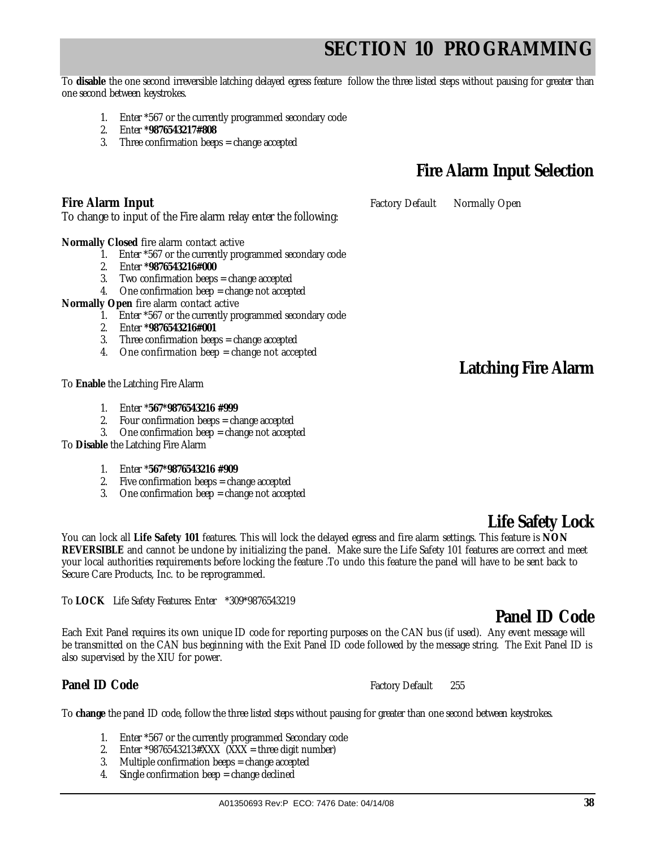To **disable** the one second irreversible latching delayed egress feature follow the three listed steps without pausing for greater than one second between keystrokes.

- 1. Enter \*567 or the currently programmed secondary code
- 2. Enter **\*9876543217#808**
- 3. Three confirmation beeps = change accepted

## **Fire Alarm Input Selection**

**Fire Alarm Input Factory Default** Normally Open

**Normally Closed** fire alarm contact active

- 1. Enter \*567 or the currently programmed secondary code
- 2. Enter **\*9876543216#000**
- 3. Two confirmation beeps = change accepted

To change to input of the Fire alarm relay enter the following:

- 4. One confirmation beep = change not accepted
- **Normally Open** fire alarm contact active
	- 1. Enter \*567 or the currently programmed secondary code
	- 2. Enter **\*9876543216#001**
	- 3. Three confirmation beeps = change accepted
	- 4. One confirmation beep = change not accepted

To **Enable** the Latching Fire Alarm

- 1. Enter \***567\*9876543216 #999**
- 2. Four confirmation beeps = change accepted
- 3. One confirmation beep = change not accepted

To **Disable** the Latching Fire Alarm

- 1. Enter \***567\*9876543216 #909**
- 2. Five confirmation beeps = change accepted
- 3. One confirmation beep = change not accepted

**REVERSIBLE** and cannot be undone by initializing the panel. Make sure the Life Safety 101 features are correct and meet your local authorities requirements before locking the feature .To undo this feature the panel will have to be sent back to

To **LOCK** Life Safety Features: Enter \*309\*9876543219

Secure Care Products, Inc. to be reprogrammed.

Each Exit Panel requires its own unique ID code for reporting purposes on the CAN bus (if used). Any event message will be transmitted on the CAN bus beginning with the Exit Panel ID code followed by the message string. The Exit Panel ID is also supervised by the XIU for power.

You can lock all **Life Safety 101** features. This will lock the delayed egress and fire alarm settings. This feature is **NON** 

### **Panel ID Code Factory Default** 255

To **change** the panel ID code, follow the three listed steps without pausing for greater than one second between keystrokes.

- 1. Enter \*567 or the currently programmed Secondary code
- 2. Enter \*9876543213#XXX  $(XXX =$  three digit number)
- 3. Multiple confirmation beeps = change accepted
- 4. Single confirmation beep = change declined

# **Latching Fire Alarm**

### **Panel ID Code**

**Life Safety Lock**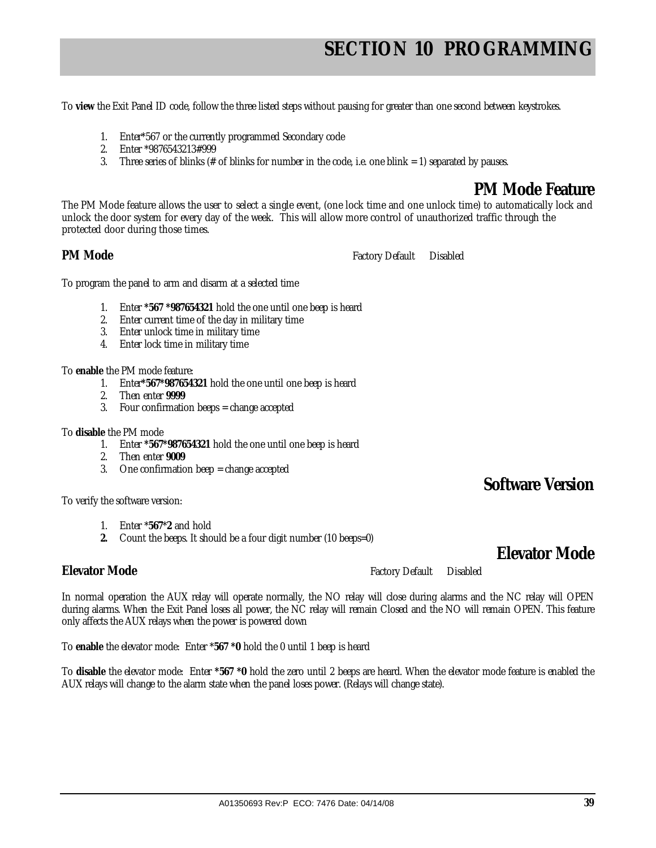To **view** the Exit Panel ID code, follow the three listed steps without pausing for greater than one second between keystrokes.

- 1. Enter\*567 or the currently programmed Secondary code
- 2. Enter \*9876543213#999
- 3. Three series of blinks ( $#$  of blinks for number in the code, i.e. one blink  $= 1$ ) separated by pauses.

### **PM Mode Feature**

The PM Mode feature allows the user to select a single event, (one lock time and one unlock time) to automatically lock and unlock the door system for every day of the week. This will allow more control of unauthorized traffic through the protected door during those times.

### **PM Mode Factory Default** Disabled

To program the panel to arm and disarm at a selected time

- 1. Enter **\*567 \*987654321** hold the one until one beep is heard
- 2. Enter current time of the day in military time
- 3. Enter unlock time in military time
- 4. Enter lock time in military time

To **enable** the PM mode feature:

- 1. Enter**\*567\*987654321** hold the one until one beep is heard
- 2. Then enter **9999**
- 3. Four confirmation beeps = change accepted
- To **disable** the PM mode
	- 1. Enter **\*567\*987654321** hold the one until one beep is heard
	- 2. Then enter **9009**
	- 3. One confirmation beep = change accepted

### **Software Version**

**Elevator Mode** 

To verify the software version:

- 1. Enter \***567**\***2** and hold
- **2.** Count the beeps. It should be a four digit number (10 beeps=0)

### **Elevator Mode Factory Default** Disabled

In normal operation the AUX relay will operate normally, the NO relay will close during alarms and the NC relay will OPEN during alarms. When the Exit Panel loses all power, the NC relay will remain Closed and the NO will remain OPEN. This feature only affects the AUX relays when the power is powered down

To **enable** the elevator mode: Enter \***567 \*0** hold the 0 until 1 beep is heard

To **disable** the elevator mode: Enter **\*567 \*0** hold the zero until 2 beeps are heard. When the elevator mode feature is enabled the AUX relays will change to the alarm state when the panel loses power. (Relays will change state).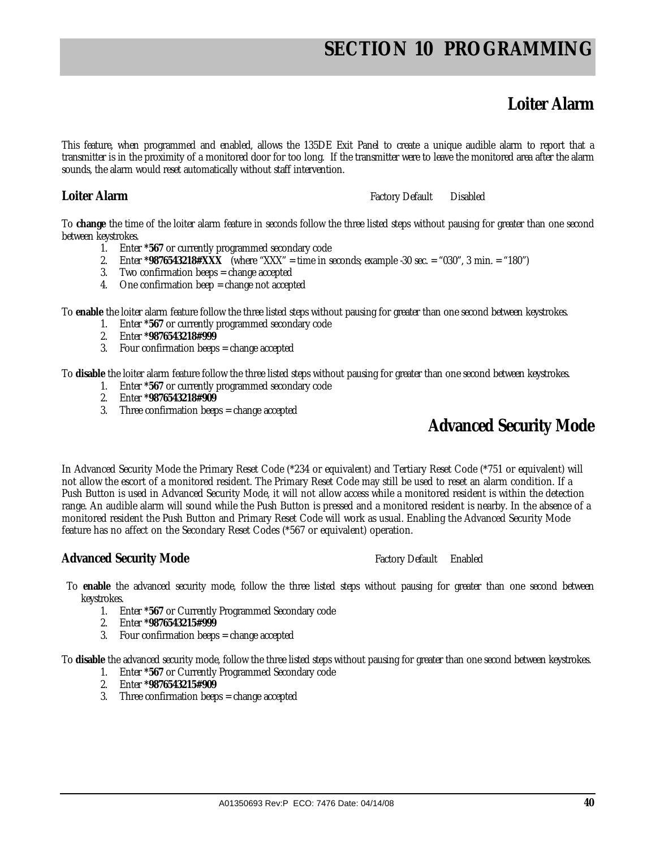### **Loiter Alarm**

This feature, when programmed and enabled, allows the 135DE Exit Panel to create a unique audible alarm to report that a transmitter is in the proximity of a monitored door for too long. If the transmitter were to leave the monitored area after the alarm sounds, the alarm would reset automatically without staff intervention.

**Loiter Alarm Factory Default** Disabled

To **change** the time of the loiter alarm feature in seconds follow the three listed steps without pausing for greater than one second between keystrokes.

- 1. Enter **\*567** or currently programmed secondary code
- 2. Enter **\*9876543218#XXX** (where "XXX" = time in seconds; example -30 sec. = "030", 3 min. = "180")
- 3. Two confirmation beeps = change accepted
- 4. One confirmation beep = change not accepted

To **enable** the loiter alarm feature follow the three listed steps without pausing for greater than one second between keystrokes.

- 1. Enter **\*567** or currently programmed secondary code
- 2. Enter **\*9876543218#999**
- 3. Four confirmation beeps = change accepted

To **disable** the loiter alarm feature follow the three listed steps without pausing for greater than one second between keystrokes.

- 1. Enter **\*567** or currently programmed secondary code
- 2. Enter **\*9876543218#909**
- 3. Three confirmation beeps = change accepted

### **Advanced Security Mode**

In Advanced Security Mode the Primary Reset Code (\*234 or equivalent) and Tertiary Reset Code (\*751 or equivalent) will not allow the escort of a monitored resident. The Primary Reset Code may still be used to reset an alarm condition. If a Push Button is used in Advanced Security Mode, it will not allow access while a monitored resident is within the detection range. An audible alarm will sound while the Push Button is pressed and a monitored resident is nearby. In the absence of a monitored resident the Push Button and Primary Reset Code will work as usual. Enabling the Advanced Security Mode feature has no affect on the Secondary Reset Codes (\*567 or equivalent) operation.

### **Advanced Security Mode Factory Default Enabled** Factory Default Enabled

- To **enable** the advanced security mode, follow the three listed steps without pausing for greater than one second between keystrokes.
	- 1. Enter **\*567** or Currently Programmed Secondary code
	- 2. Enter **\*9876543215#999**
	- 3. Four confirmation beeps = change accepted

To **disable** the advanced security mode, follow the three listed steps without pausing for greater than one second between keystrokes.

- 1. Enter **\*567** or Currently Programmed Secondary code
- 2. Enter **\*9876543215#909**
- 3. Three confirmation beeps = change accepted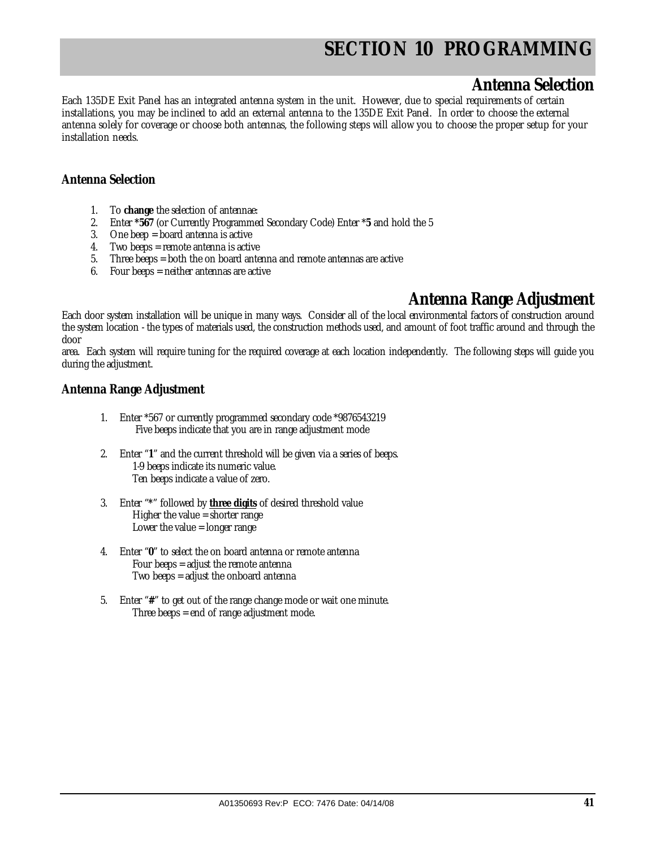### **Antenna Selection**

Each 135DE Exit Panel has an integrated antenna system in the unit. However, due to special requirements of certain installations, you may be inclined to add an external antenna to the 135DE Exit Panel. In order to choose the external antenna solely for coverage or choose both antennas, the following steps will allow you to choose the proper setup for your installation needs.

### **Antenna Selection**

- 1. To **change** the selection of antennae:
- 2. Enter **\*567** (or Currently Programmed Secondary Code) Enter \***5** and hold the 5
- 3. One beep = board antenna is active
- 4. Two beeps = remote antenna is active
- 5. Three beeps = both the on board antenna and remote antennas are active
- 6. Four beeps = neither antennas are active

### **Antenna Range Adjustment**

Each door system installation will be unique in many ways. Consider all of the local environmental factors of construction around the system location - the types of materials used, the construction methods used, and amount of foot traffic around and through the door

area. Each system will require tuning for the required coverage at each location independently. The following steps will guide you during the adjustment.

### **Antenna Range Adjustment**

- 1. Enter \*567 or currently programmed secondary code \*9876543219 Five beeps indicate that you are in range adjustment mode
- 2. Enter "**1**" and the current threshold will be given via a series of beeps. 1-9 beeps indicate its numeric value. Ten beeps indicate a value of zero.
- 3. Enter "**\***" followed by **three digits** of desired threshold value Higher the value = shorter range Lower the value = longer range
- 4. Enter "**0**" to select the on board antenna or remote antenna Four beeps = adjust the remote antenna Two beeps = adjust the onboard antenna
- 5. Enter "**#**" to get out of the range change mode or wait one minute. Three beeps = end of range adjustment mode.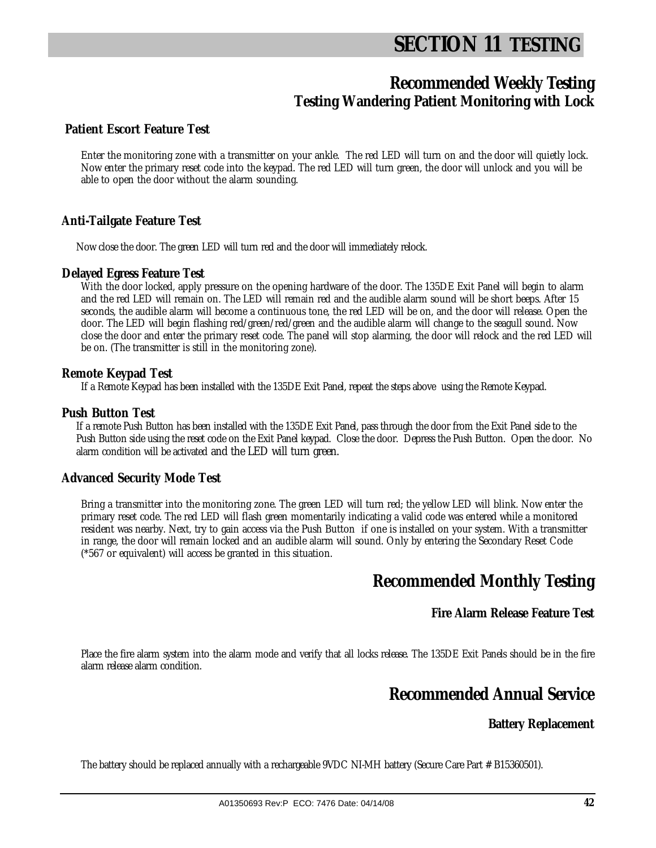# **SECTION 11 TESTING**

### **Recommended Weekly Testing Testing Wandering Patient Monitoring with Lock**

### **Patient Escort Feature Test**

Enter the monitoring zone with a transmitter on your ankle. The red LED will turn on and the door will quietly lock. Now enter the primary reset code into the keypad. The red LED will turn green, the door will unlock and you will be able to open the door without the alarm sounding.

### **Anti-Tailgate Feature Test**

Now close the door. The green LED will turn red and the door will immediately relock.

### **Delayed Egress Feature Test**

With the door locked, apply pressure on the opening hardware of the door. The 135DE Exit Panel will begin to alarm and the red LED will remain on. The LED will remain red and the audible alarm sound will be short beeps. After 15 seconds, the audible alarm will become a continuous tone, the red LED will be on, and the door will release. Open the door. The LED will begin flashing red/green/red/green and the audible alarm will change to the seagull sound. Now close the door and enter the primary reset code. The panel will stop alarming, the door will relock and the red LED will be on. (The transmitter is still in the monitoring zone).

### **Remote Keypad Test**

If a Remote Keypad has been installed with the 135DE Exit Panel, repeat the steps above using the Remote Keypad.

### **Push Button Test**

If a remote Push Button has been installed with the 135DE Exit Panel, pass through the door from the Exit Panel side to the Push Button side using the reset code on the Exit Panel keypad. Close the door. Depress the Push Button. Open the door. No alarm condition will be activated and the LED will turn green.

### **Advanced Security Mode Test**

Bring a transmitter into the monitoring zone. The green LED will turn red; the yellow LED will blink. Now enter the primary reset code. The red LED will flash green momentarily indicating a valid code was entered while a monitored resident was nearby. Next, try to gain access via the Push Button if one is installed on your system. With a transmitter in range, the door will remain locked and an audible alarm will sound. Only by entering the Secondary Reset Code (\*567 or equivalent) will access be granted in this situation.

### **Recommended Monthly Testing**

### **Fire Alarm Release Feature Test**

Place the fire alarm system into the alarm mode and verify that all locks release. The 135DE Exit Panels should be in the fire alarm release alarm condition.

### **Recommended Annual Service**

### **Battery Replacement**

The battery should be replaced annually with a rechargeable 9VDC NI-MH battery (Secure Care Part # B15360501).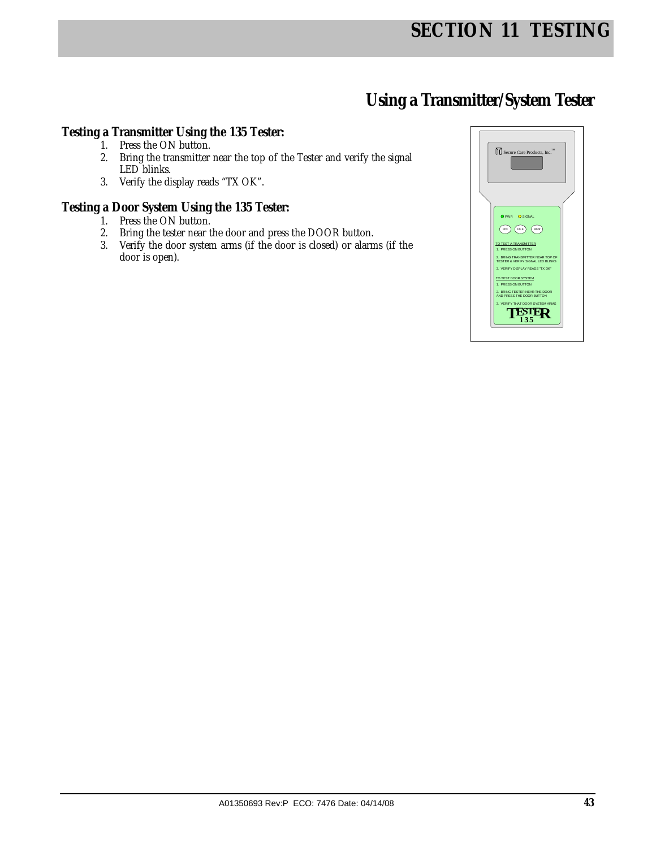## **Using a Transmitter/System Tester**

### **Testing a Transmitter Using the 135 Tester:**

- 1. Press the ON button.
- 2. Bring the transmitter near the top of the Tester and verify the signal LED blinks.
- 3. Verify the display reads "TX OK".

### **Testing a Door System Using the 135 Tester:**

- 1. Press the ON button.
- 2. Bring the tester near the door and press the DOOR button.
- 3. Verify the door system arms (if the door is closed) or alarms (if the door is open).

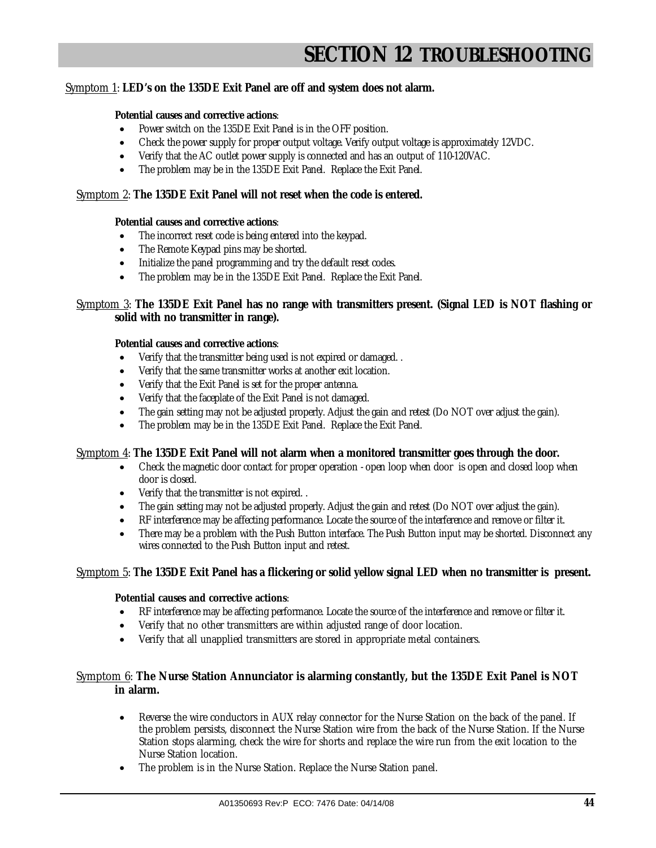# **SECTION 12 TROUBLESHOOTING**

### Symptom 1: **LED's on the 135DE Exit Panel are off and system does not alarm.**

#### **Potential causes and corrective actions**:

- Power switch on the 135DE Exit Panel is in the OFF position.
- Check the power supply for proper output voltage. Verify output voltage is approximately 12VDC.
- Verify that the AC outlet power supply is connected and has an output of 110-120VAC.
- The problem may be in the 135DE Exit Panel. Replace the Exit Panel.

#### Symptom 2: **The 135DE Exit Panel will not reset when the code is entered.**

#### **Potential causes and corrective actions**:

- The incorrect reset code is being entered into the keypad.
- The Remote Keypad pins may be shorted.
- Initialize the panel programming and try the default reset codes.
- The problem may be in the 135DE Exit Panel. Replace the Exit Panel.

### Symptom 3: **The 135DE Exit Panel has no range with transmitters present. (Signal LED is NOT flashing or solid with no transmitter in range).**

#### **Potential causes and corrective actions**:

- Verify that the transmitter being used is not expired or damaged. .
- Verify that the same transmitter works at another exit location.
- Verify that the Exit Panel is set for the proper antenna.
- Verify that the faceplate of the Exit Panel is not damaged.
- The gain setting may not be adjusted properly. Adjust the gain and retest (Do NOT over adjust the gain).
- The problem may be in the 135DE Exit Panel. Replace the Exit Panel.

#### Symptom 4: **The 135DE Exit Panel will not alarm when a monitored transmitter goes through the door.**

- Check the magnetic door contact for proper operation open loop when door is open and closed loop when door is closed.
- Verify that the transmitter is not expired. .
- The gain setting may not be adjusted properly. Adjust the gain and retest (Do NOT over adjust the gain).
- RF interference may be affecting performance. Locate the source of the interference and remove or filter it.
- There may be a problem with the Push Button interface. The Push Button input may be shorted. Disconnect any wires connected to the Push Button input and retest.

#### Symptom 5: **The 135DE Exit Panel has a flickering or solid yellow signal LED when no transmitter is present.**

#### **Potential causes and corrective actions**:

- RF interference may be affecting performance. Locate the source of the interference and remove or filter it.
- Verify that no other transmitters are within adjusted range of door location.
- Verify that all unapplied transmitters are stored in appropriate metal containers.

#### Symptom 6: **The Nurse Station Annunciator is alarming constantly, but the 135DE Exit Panel is NOT in alarm.**

- Reverse the wire conductors in AUX relay connector for the Nurse Station on the back of the panel. If the problem persists, disconnect the Nurse Station wire from the back of the Nurse Station. If the Nurse Station stops alarming, check the wire for shorts and replace the wire run from the exit location to the Nurse Station location.
- The problem is in the Nurse Station. Replace the Nurse Station panel.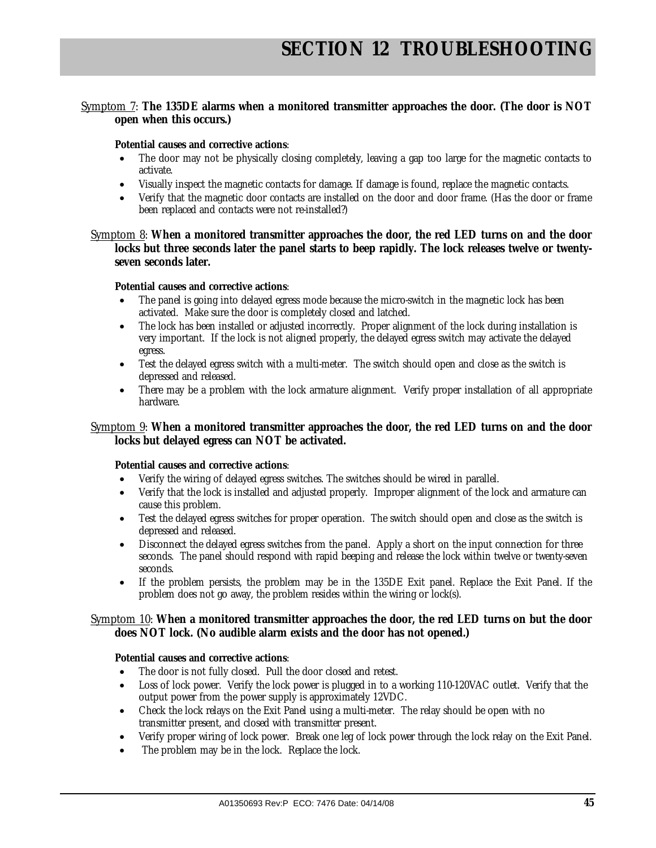### Symptom 7: **The 135DE alarms when a monitored transmitter approaches the door. (The door is NOT open when this occurs.)**

#### **Potential causes and corrective actions**:

- The door may not be physically closing completely, leaving a gap too large for the magnetic contacts to activate.
- Visually inspect the magnetic contacts for damage. If damage is found, replace the magnetic contacts.
- Verify that the magnetic door contacts are installed on the door and door frame. (Has the door or frame been replaced and contacts were not re-installed?)

Symptom 8: **When a monitored transmitter approaches the door, the red LED turns on and the door locks but three seconds later the panel starts to beep rapidly. The lock releases twelve or twentyseven seconds later.** 

#### **Potential causes and corrective actions**:

- The panel is going into delayed egress mode because the micro-switch in the magnetic lock has been activated. Make sure the door is completely closed and latched.
- The lock has been installed or adjusted incorrectly. Proper alignment of the lock during installation is very important. If the lock is not aligned properly, the delayed egress switch may activate the delayed egress.
- Test the delayed egress switch with a multi-meter. The switch should open and close as the switch is depressed and released.
- There may be a problem with the lock armature alignment. Verify proper installation of all appropriate hardware.

### Symptom 9: **When a monitored transmitter approaches the door, the red LED turns on and the door locks but delayed egress can NOT be activated.**

#### **Potential causes and corrective actions**:

- Verify the wiring of delayed egress switches. The switches should be wired in parallel.
- Verify that the lock is installed and adjusted properly. Improper alignment of the lock and armature can cause this problem.
- Test the delayed egress switches for proper operation. The switch should open and close as the switch is depressed and released.
- Disconnect the delayed egress switches from the panel. Apply a short on the input connection for three seconds. The panel should respond with rapid beeping and release the lock within twelve or twenty-seven seconds.
- If the problem persists, the problem may be in the 135DE Exit panel. Replace the Exit Panel. If the problem does not go away, the problem resides within the wiring or lock(s).

#### Symptom 10: **When a monitored transmitter approaches the door, the red LED turns on but the door does NOT lock. (No audible alarm exists and the door has not opened.)**

#### **Potential causes and corrective actions**:

- The door is not fully closed. Pull the door closed and retest.
- Loss of lock power. Verify the lock power is plugged in to a working 110-120VAC outlet. Verify that the output power from the power supply is approximately 12VDC.
- Check the lock relays on the Exit Panel using a multi-meter. The relay should be open with no transmitter present, and closed with transmitter present.
- Verify proper wiring of lock power. Break one leg of lock power through the lock relay on the Exit Panel.
- The problem may be in the lock. Replace the lock.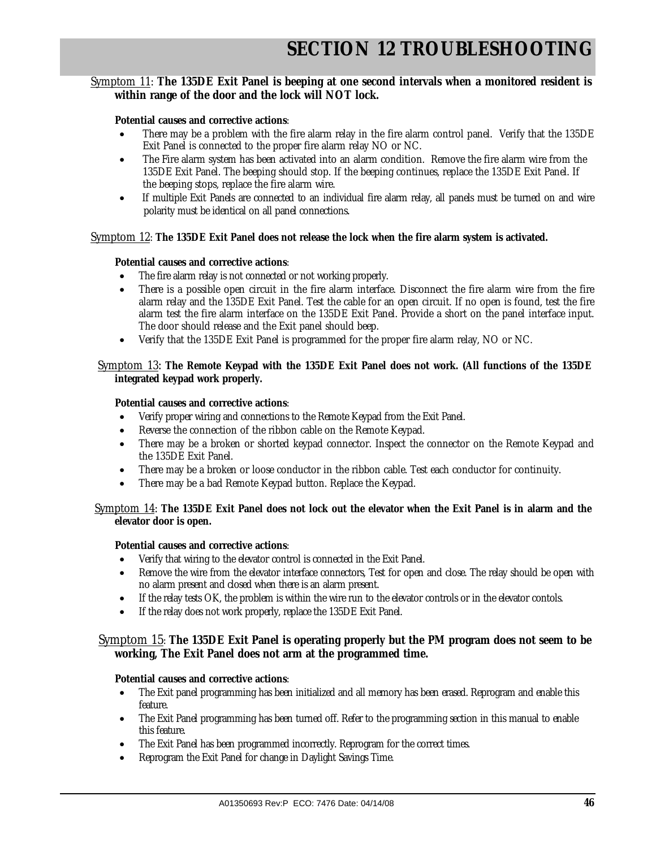### Symptom 11: **The 135DE Exit Panel is beeping at one second intervals when a monitored resident is within range of the door and the lock will NOT lock.**

#### **Potential causes and corrective actions**:

- There may be a problem with the fire alarm relay in the fire alarm control panel. Verify that the 135DE Exit Panel is connected to the proper fire alarm relay NO or NC.
- The Fire alarm system has been activated into an alarm condition. Remove the fire alarm wire from the 135DE Exit Panel. The beeping should stop. If the beeping continues, replace the 135DE Exit Panel. If the beeping stops, replace the fire alarm wire.
- If multiple Exit Panels are connected to an individual fire alarm relay, all panels must be turned on and wire polarity must be identical on all panel connections.

#### Symptom 12: **The 135DE Exit Panel does not release the lock when the fire alarm system is activated.**

#### **Potential causes and corrective actions**:

- The fire alarm relay is not connected or not working properly.
- There is a possible open circuit in the fire alarm interface. Disconnect the fire alarm wire from the fire alarm relay and the 135DE Exit Panel. Test the cable for an open circuit. If no open is found, test the fire alarm test the fire alarm interface on the 135DE Exit Panel. Provide a short on the panel interface input. The door should release and the Exit panel should beep.
- Verify that the 135DE Exit Panel is programmed for the proper fire alarm relay, NO or NC.

#### Symptom 13: **The Remote Keypad with the 135DE Exit Panel does not work. (All functions of the 135DE integrated keypad work properly.**

#### **Potential causes and corrective actions**:

- Verify proper wiring and connections to the Remote Keypad from the Exit Panel.
- Reverse the connection of the ribbon cable on the Remote Keypad.
- There may be a broken or shorted keypad connector. Inspect the connector on the Remote Keypad and the 135DE Exit Panel.
- There may be a broken or loose conductor in the ribbon cable. Test each conductor for continuity.
- There may be a bad Remote Keypad button. Replace the Keypad.

#### Symptom 14: **The 135DE Exit Panel does not lock out the elevator when the Exit Panel is in alarm and the elevator door is open.**

#### **Potential causes and corrective actions**:

- Verify that wiring to the elevator control is connected in the Exit Panel.
- Remove the wire from the elevator interface connectors, Test for open and close. The relay should be open with no alarm present and closed when there is an alarm present.
- If the relay tests OK, the problem is within the wire run to the elevator controls or in the elevator contols.
- If the relay does not work properly, replace the 135DE Exit Panel.

#### Symptom 15: **The 135DE Exit Panel is operating properly but the PM program does not seem to be working, The Exit Panel does not arm at the programmed time.**

#### **Potential causes and corrective actions**:

- The Exit panel programming has been initialized and all memory has been erased. Reprogram and enable this feature.
- The Exit Panel programming has been turned off. Refer to the programming section in this manual to enable this feature.
- The Exit Panel has been programmed incorrectly. Reprogram for the correct times.
- Reprogram the Exit Panel for change in Daylight Savings Time.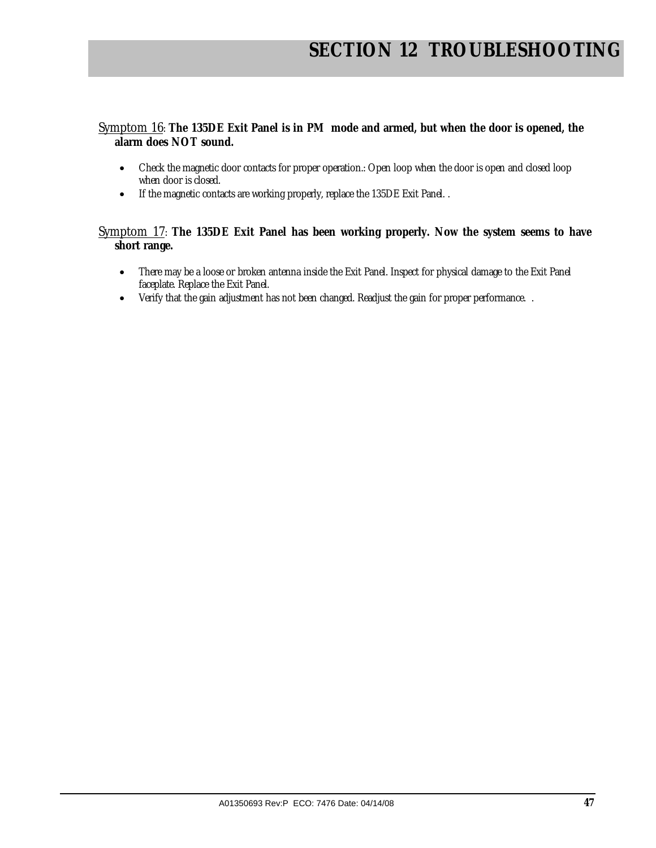### Symptom 16: **The 135DE Exit Panel is in PM mode and armed, but when the door is opened, the alarm does NOT sound.**

- Check the magnetic door contacts for proper operation.: Open loop when the door is open and closed loop when door is closed.
- If the magnetic contacts are working properly, replace the 135DE Exit Panel. .

### Symptom 17: **The 135DE Exit Panel has been working properly. Now the system seems to have short range.**

- There may be a loose or broken antenna inside the Exit Panel. Inspect for physical damage to the Exit Panel faceplate. Replace the Exit Panel.
- Verify that the gain adjustment has not been changed. Readjust the gain for proper performance. .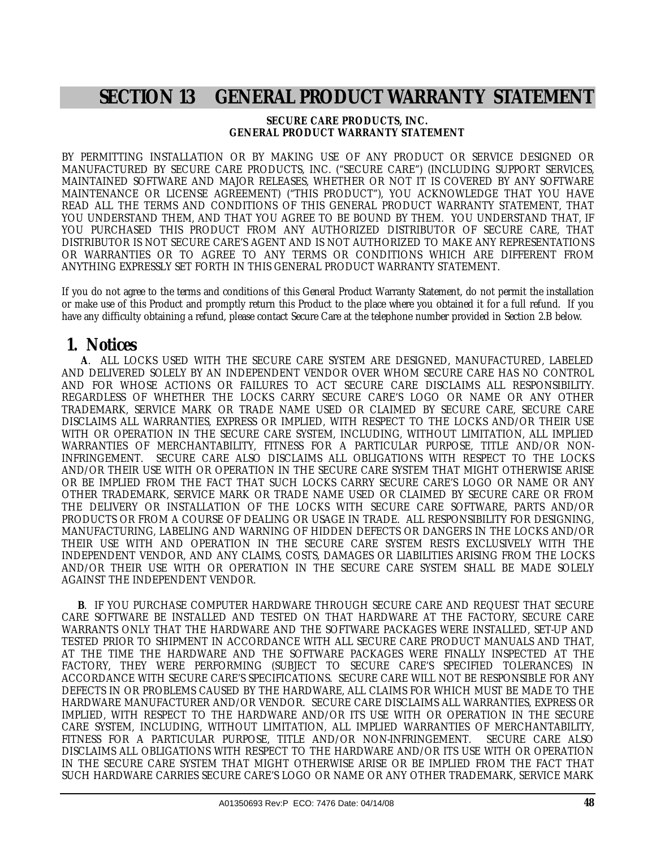## **SECTION 13 GENERAL PRODUCT WARRANTY STATEMENT**

#### **SECURE CARE PRODUCTS, INC. GENERAL PRODUCT WARRANTY STATEMENT**

BY PERMITTING INSTALLATION OR BY MAKING USE OF ANY PRODUCT OR SERVICE DESIGNED OR MANUFACTURED BY SECURE CARE PRODUCTS, INC. ("SECURE CARE") (INCLUDING SUPPORT SERVICES, MAINTAINED SOFTWARE AND MAJOR RELEASES, WHETHER OR NOT IT IS COVERED BY ANY SOFTWARE MAINTENANCE OR LICENSE AGREEMENT) ("THIS PRODUCT"), YOU ACKNOWLEDGE THAT YOU HAVE READ ALL THE TERMS AND CONDITIONS OF THIS GENERAL PRODUCT WARRANTY STATEMENT, THAT YOU UNDERSTAND THEM, AND THAT YOU AGREE TO BE BOUND BY THEM. YOU UNDERSTAND THAT, IF YOU PURCHASED THIS PRODUCT FROM ANY AUTHORIZED DISTRIBUTOR OF SECURE CARE, THAT DISTRIBUTOR IS NOT SECURE CARE'S AGENT AND IS NOT AUTHORIZED TO MAKE ANY REPRESENTATIONS OR WARRANTIES OR TO AGREE TO ANY TERMS OR CONDITIONS WHICH ARE DIFFERENT FROM ANYTHING EXPRESSLY SET FORTH IN THIS GENERAL PRODUCT WARRANTY STATEMENT.

If you do not agree to the terms and conditions of this General Product Warranty Statement, do not permit the installation or make use of this Product and promptly return this Product to the place where you obtained it for a full refund. If you have any difficulty obtaining a refund, please contact Secure Care at the telephone number provided in Section 2.B below.

### **1. Notices**

 **A**. ALL LOCKS USED WITH THE SECURE CARE SYSTEM ARE DESIGNED, MANUFACTURED, LABELED AND DELIVERED SOLELY BY AN INDEPENDENT VENDOR OVER WHOM SECURE CARE HAS NO CONTROL AND FOR WHOSE ACTIONS OR FAILURES TO ACT SECURE CARE DISCLAIMS ALL RESPONSIBILITY. REGARDLESS OF WHETHER THE LOCKS CARRY SECURE CARE'S LOGO OR NAME OR ANY OTHER TRADEMARK, SERVICE MARK OR TRADE NAME USED OR CLAIMED BY SECURE CARE, SECURE CARE DISCLAIMS ALL WARRANTIES, EXPRESS OR IMPLIED, WITH RESPECT TO THE LOCKS AND/OR THEIR USE WITH OR OPERATION IN THE SECURE CARE SYSTEM, INCLUDING, WITHOUT LIMITATION, ALL IMPLIED WARRANTIES OF MERCHANTABILITY, FITNESS FOR A PARTICULAR PURPOSE, TITLE AND/OR NON-INFRINGEMENT. SECURE CARE ALSO DISCLAIMS ALL OBLIGATIONS WITH RESPECT TO THE LOCKS AND/OR THEIR USE WITH OR OPERATION IN THE SECURE CARE SYSTEM THAT MIGHT OTHERWISE ARISE OR BE IMPLIED FROM THE FACT THAT SUCH LOCKS CARRY SECURE CARE'S LOGO OR NAME OR ANY OTHER TRADEMARK, SERVICE MARK OR TRADE NAME USED OR CLAIMED BY SECURE CARE OR FROM THE DELIVERY OR INSTALLATION OF THE LOCKS WITH SECURE CARE SOFTWARE, PARTS AND/OR PRODUCTS OR FROM A COURSE OF DEALING OR USAGE IN TRADE. ALL RESPONSIBILITY FOR DESIGNING, MANUFACTURING, LABELING AND WARNING OF HIDDEN DEFECTS OR DANGERS IN THE LOCKS AND/OR THEIR USE WITH AND OPERATION IN THE SECURE CARE SYSTEM RESTS EXCLUSIVELY WITH THE INDEPENDENT VENDOR, AND ANY CLAIMS, COSTS, DAMAGES OR LIABILITIES ARISING FROM THE LOCKS AND/OR THEIR USE WITH OR OPERATION IN THE SECURE CARE SYSTEM SHALL BE MADE SOLELY AGAINST THE INDEPENDENT VENDOR.

 **B**. IF YOU PURCHASE COMPUTER HARDWARE THROUGH SECURE CARE AND REQUEST THAT SECURE CARE SOFTWARE BE INSTALLED AND TESTED ON THAT HARDWARE AT THE FACTORY, SECURE CARE WARRANTS ONLY THAT THE HARDWARE AND THE SOFTWARE PACKAGES WERE INSTALLED, SET-UP AND TESTED PRIOR TO SHIPMENT IN ACCORDANCE WITH ALL SECURE CARE PRODUCT MANUALS AND THAT, AT THE TIME THE HARDWARE AND THE SOFTWARE PACKAGES WERE FINALLY INSPECTED AT THE FACTORY, THEY WERE PERFORMING (SUBJECT TO SECURE CARE'S SPECIFIED TOLERANCES) IN ACCORDANCE WITH SECURE CARE'S SPECIFICATIONS. SECURE CARE WILL NOT BE RESPONSIBLE FOR ANY DEFECTS IN OR PROBLEMS CAUSED BY THE HARDWARE, ALL CLAIMS FOR WHICH MUST BE MADE TO THE HARDWARE MANUFACTURER AND/OR VENDOR. SECURE CARE DISCLAIMS ALL WARRANTIES, EXPRESS OR IMPLIED, WITH RESPECT TO THE HARDWARE AND/OR ITS USE WITH OR OPERATION IN THE SECURE CARE SYSTEM, INCLUDING, WITHOUT LIMITATION, ALL IMPLIED WARRANTIES OF MERCHANTABILITY, FITNESS FOR A PARTICULAR PURPOSE, TITLE AND/OR NON-INFRINGEMENT. SECURE CARE ALSO DISCLAIMS ALL OBLIGATIONS WITH RESPECT TO THE HARDWARE AND/OR ITS USE WITH OR OPERATION IN THE SECURE CARE SYSTEM THAT MIGHT OTHERWISE ARISE OR BE IMPLIED FROM THE FACT THAT SUCH HARDWARE CARRIES SECURE CARE'S LOGO OR NAME OR ANY OTHER TRADEMARK, SERVICE MARK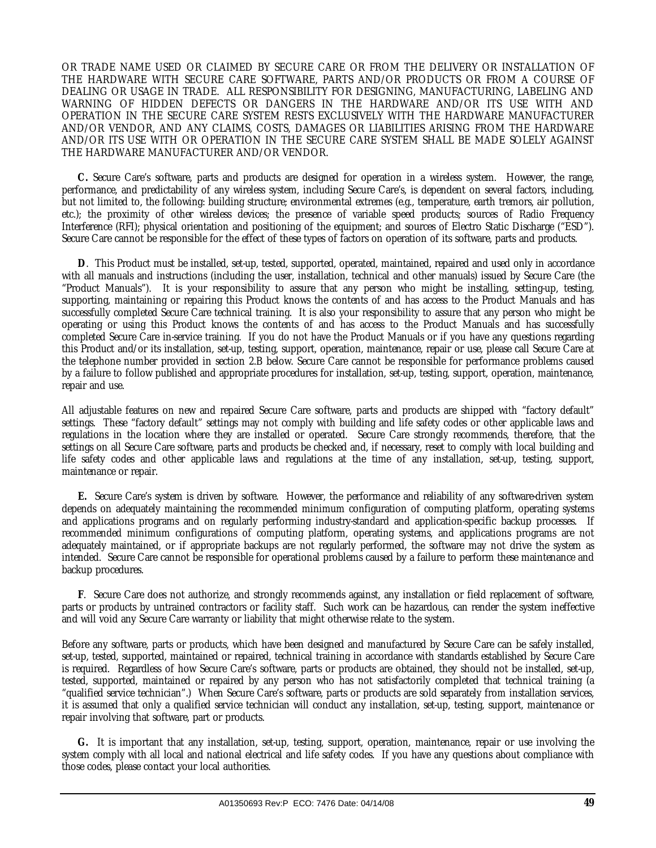OR TRADE NAME USED OR CLAIMED BY SECURE CARE OR FROM THE DELIVERY OR INSTALLATION OF THE HARDWARE WITH SECURE CARE SOFTWARE, PARTS AND/OR PRODUCTS OR FROM A COURSE OF DEALING OR USAGE IN TRADE. ALL RESPONSIBILITY FOR DESIGNING, MANUFACTURING, LABELING AND WARNING OF HIDDEN DEFECTS OR DANGERS IN THE HARDWARE AND/OR ITS USE WITH AND OPERATION IN THE SECURE CARE SYSTEM RESTS EXCLUSIVELY WITH THE HARDWARE MANUFACTURER AND/OR VENDOR, AND ANY CLAIMS, COSTS, DAMAGES OR LIABILITIES ARISING FROM THE HARDWARE AND/OR ITS USE WITH OR OPERATION IN THE SECURE CARE SYSTEM SHALL BE MADE SOLELY AGAINST THE HARDWARE MANUFACTURER AND/OR VENDOR.

 **C.** Secure Care's software, parts and products are designed for operation in a wireless system. However, the range, performance, and predictability of any wireless system, including Secure Care's, is dependent on several factors, including, but not limited to, the following: building structure; environmental extremes (e.g., temperature, earth tremors, air pollution, etc.); the proximity of other wireless devices; the presence of variable speed products; sources of Radio Frequency Interference (RFI); physical orientation and positioning of the equipment; and sources of Electro Static Discharge ("ESD"). Secure Care cannot be responsible for the effect of these types of factors on operation of its software, parts and products.

 **D**. This Product must be installed, set-up, tested, supported, operated, maintained, repaired and used only in accordance with all manuals and instructions (including the user, installation, technical and other manuals) issued by Secure Care (the "Product Manuals"). It is your responsibility to assure that any person who might be installing, setting-up, testing, supporting, maintaining or repairing this Product knows the contents of and has access to the Product Manuals and has successfully completed Secure Care technical training. It is also your responsibility to assure that any person who might be operating or using this Product knows the contents of and has access to the Product Manuals and has successfully completed Secure Care in-service training. If you do not have the Product Manuals or if you have any questions regarding this Product and/or its installation, set-up, testing, support, operation, maintenance, repair or use, please call Secure Care at the telephone number provided in section 2.B below. Secure Care cannot be responsible for performance problems caused by a failure to follow published and appropriate procedures for installation, set-up, testing, support, operation, maintenance, repair and use.

All adjustable features on new and repaired Secure Care software, parts and products are shipped with "factory default" settings. These "factory default" settings may not comply with building and life safety codes or other applicable laws and regulations in the location where they are installed or operated. Secure Care strongly recommends, therefore, that the settings on all Secure Care software, parts and products be checked and, if necessary, reset to comply with local building and life safety codes and other applicable laws and regulations at the time of any installation, set-up, testing, support, maintenance or repair.

 **E.** Secure Care's system is driven by software. However, the performance and reliability of any software-driven system depends on adequately maintaining the recommended minimum configuration of computing platform, operating systems and applications programs and on regularly performing industry-standard and application-specific backup processes. If recommended minimum configurations of computing platform, operating systems, and applications programs are not adequately maintained, or if appropriate backups are not regularly performed, the software may not drive the system as intended. Secure Care cannot be responsible for operational problems caused by a failure to perform these maintenance and backup procedures.

 **F**. Secure Care does not authorize, and strongly recommends against, any installation or field replacement of software, parts or products by untrained contractors or facility staff. Such work can be hazardous, can render the system ineffective and will void any Secure Care warranty or liability that might otherwise relate to the system.

Before any software, parts or products, which have been designed and manufactured by Secure Care can be safely installed, set-up, tested, supported, maintained or repaired, technical training in accordance with standards established by Secure Care is required. Regardless of how Secure Care's software, parts or products are obtained, they should not be installed, set-up, tested, supported, maintained or repaired by any person who has not satisfactorily completed that technical training (a "qualified service technician".) When Secure Care's software, parts or products are sold separately from installation services, it is assumed that only a qualified service technician will conduct any installation, set-up, testing, support, maintenance or repair involving that software, part or products.

 **G.** It is important that any installation, set-up, testing, support, operation, maintenance, repair or use involving the system comply with all local and national electrical and life safety codes. If you have any questions about compliance with those codes, please contact your local authorities.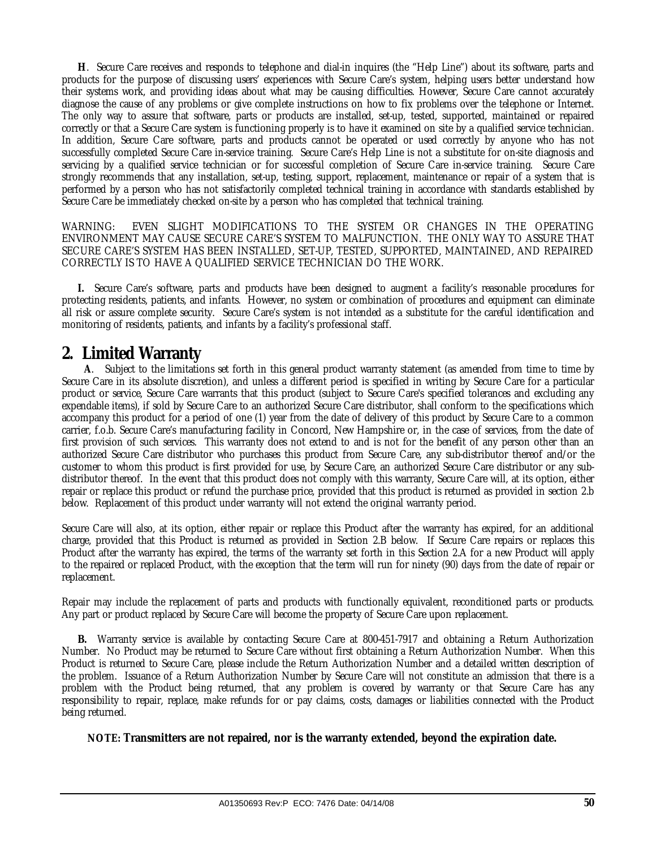**H**. Secure Care receives and responds to telephone and dial-in inquires (the "Help Line") about its software, parts and products for the purpose of discussing users' experiences with Secure Care's system, helping users better understand how their systems work, and providing ideas about what may be causing difficulties. However, Secure Care cannot accurately diagnose the cause of any problems or give complete instructions on how to fix problems over the telephone or Internet. The only way to assure that software, parts or products are installed, set-up, tested, supported, maintained or repaired correctly or that a Secure Care system is functioning properly is to have it examined on site by a qualified service technician. In addition, Secure Care software, parts and products cannot be operated or used correctly by anyone who has not successfully completed Secure Care in-service training. Secure Care's Help Line is not a substitute for on-site diagnosis and servicing by a qualified service technician or for successful completion of Secure Care in-service training. Secure Care strongly recommends that any installation, set-up, testing, support, replacement, maintenance or repair of a system that is performed by a person who has not satisfactorily completed technical training in accordance with standards established by Secure Care be immediately checked on-site by a person who has completed that technical training.

WARNING: EVEN SLIGHT MODIFICATIONS TO THE SYSTEM OR CHANGES IN THE OPERATING ENVIRONMENT MAY CAUSE SECURE CARE'S SYSTEM TO MALFUNCTION. THE ONLY WAY TO ASSURE THAT SECURE CARE'S SYSTEM HAS BEEN INSTALLED, SET-UP, TESTED, SUPPORTED, MAINTAINED, AND REPAIRED CORRECTLY IS TO HAVE A QUALIFIED SERVICE TECHNICIAN DO THE WORK.

 **I.** Secure Care's software, parts and products have been designed to augment a facility's reasonable procedures for protecting residents, patients, and infants. However, no system or combination of procedures and equipment can eliminate all risk or assure complete security. Secure Care's system is not intended as a substitute for the careful identification and monitoring of residents, patients, and infants by a facility's professional staff.

### **2. Limited Warranty**

 **A**. Subject to the limitations set forth in this general product warranty statement (as amended from time to time by Secure Care in its absolute discretion), and unless a different period is specified in writing by Secure Care for a particular product or service, Secure Care warrants that this product (subject to Secure Care's specified tolerances and excluding any expendable items), if sold by Secure Care to an authorized Secure Care distributor, shall conform to the specifications which accompany this product for a period of one (1) year from the date of delivery of this product by Secure Care to a common carrier, f.o.b. Secure Care's manufacturing facility in Concord, New Hampshire or, in the case of services, from the date of first provision of such services. This warranty does not extend to and is not for the benefit of any person other than an authorized Secure Care distributor who purchases this product from Secure Care, any sub-distributor thereof and/or the customer to whom this product is first provided for use, by Secure Care, an authorized Secure Care distributor or any subdistributor thereof. In the event that this product does not comply with this warranty, Secure Care will, at its option, either repair or replace this product or refund the purchase price, provided that this product is returned as provided in section 2.b below. Replacement of this product under warranty will not extend the original warranty period.

Secure Care will also, at its option, either repair or replace this Product after the warranty has expired, for an additional charge, provided that this Product is returned as provided in Section 2.B below. If Secure Care repairs or replaces this Product after the warranty has expired, the terms of the warranty set forth in this Section 2.A for a new Product will apply to the repaired or replaced Product, with the exception that the term will run for ninety (90) days from the date of repair or replacement.

Repair may include the replacement of parts and products with functionally equivalent, reconditioned parts or products. Any part or product replaced by Secure Care will become the property of Secure Care upon replacement.

 **B.** Warranty service is available by contacting Secure Care at 800-451-7917 and obtaining a Return Authorization Number. No Product may be returned to Secure Care without first obtaining a Return Authorization Number. When this Product is returned to Secure Care, please include the Return Authorization Number and a detailed written description of the problem. Issuance of a Return Authorization Number by Secure Care will not constitute an admission that there is a problem with the Product being returned, that any problem is covered by warranty or that Secure Care has any responsibility to repair, replace, make refunds for or pay claims, costs, damages or liabilities connected with the Product being returned.

**NOTE: Transmitters are not repaired, nor is the warranty extended, beyond the expiration date.**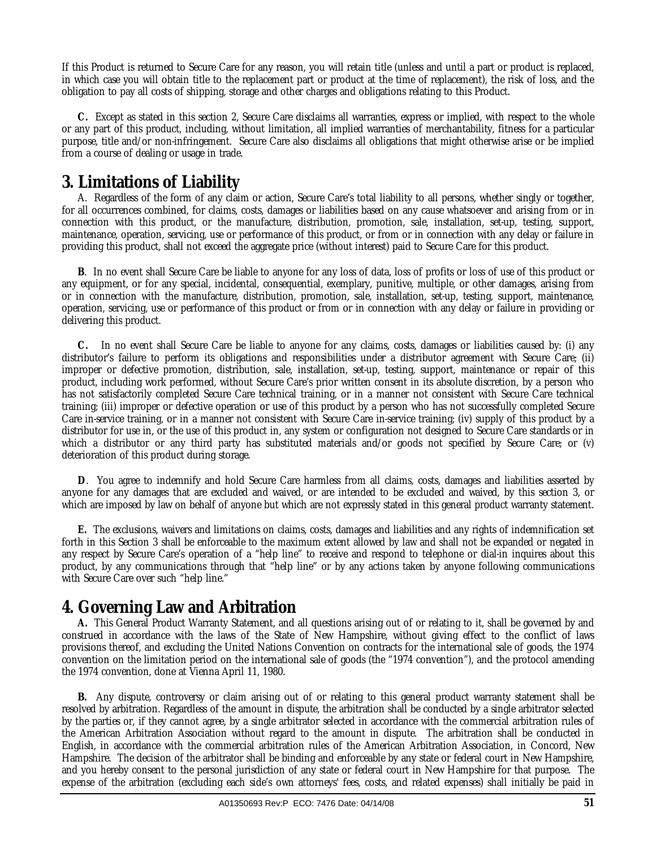If this Product is returned to Secure Care for any reason, you will retain title (unless and until a part or product is replaced, in which case you will obtain title to the replacement part or product at the time of replacement), the risk of loss, and the obligation to pay all costs of shipping, storage and other charges and obligations relating to this Product.

 **C.** Except as stated in this section 2, Secure Care disclaims all warranties, express or implied, with respect to the whole or any part of this product, including, without limitation, all implied warranties of merchantability, fitness for a particular purpose, title and/or non-infringement. Secure Care also disclaims all obligations that might otherwise arise or be implied from a course of dealing or usage in trade.

### **3. Limitations of Liability**

 A. Regardless of the form of any claim or action, Secure Care's total liability to all persons, whether singly or together, for all occurrences combined, for claims, costs, damages or liabilities based on any cause whatsoever and arising from or in connection with this product, or the manufacture, distribution, promotion, sale, installation, set-up, testing, support, maintenance, operation, servicing, use or performance of this product, or from or in connection with any delay or failure in providing this product, shall not exceed the aggregate price (without interest) paid to Secure Care for this product.

 **B**. In no event shall Secure Care be liable to anyone for any loss of data, loss of profits or loss of use of this product or any equipment, or for any special, incidental, consequential, exemplary, punitive, multiple, or other damages, arising from or in connection with the manufacture, distribution, promotion, sale, installation, set-up, testing, support, maintenance, operation, servicing, use or performance of this product or from or in connection with any delay or failure in providing or delivering this product.

 **C.** In no event shall Secure Care be liable to anyone for any claims, costs, damages or liabilities caused by: (i) any distributor's failure to perform its obligations and responsibilities under a distributor agreement with Secure Care; (ii) improper or defective promotion, distribution, sale, installation, set-up, testing, support, maintenance or repair of this product, including work performed, without Secure Care's prior written consent in its absolute discretion, by a person who has not satisfactorily completed Secure Care technical training, or in a manner not consistent with Secure Care technical training; (iii) improper or defective operation or use of this product by a person who has not successfully completed Secure Care in-service training, or in a manner not consistent with Secure Care in-service training; (iv) supply of this product by a distributor for use in, or the use of this product in, any system or configuration not designed to Secure Care standards or in which a distributor or any third party has substituted materials and/or goods not specified by Secure Care; or (v) deterioration of this product during storage.

 **D**. You agree to indemnify and hold Secure Care harmless from all claims, costs, damages and liabilities asserted by anyone for any damages that are excluded and waived, or are intended to be excluded and waived, by this section 3, or which are imposed by law on behalf of anyone but which are not expressly stated in this general product warranty statement.

 **E.** The exclusions, waivers and limitations on claims, costs, damages and liabilities and any rights of indemnification set forth in this Section 3 shall be enforceable to the maximum extent allowed by law and shall not be expanded or negated in any respect by Secure Care's operation of a "help line" to receive and respond to telephone or dial-in inquires about this product, by any communications through that "help line" or by any actions taken by anyone following communications with Secure Care over such "help line."

### **4. Governing Law and Arbitration**

 **A.** This General Product Warranty Statement, and all questions arising out of or relating to it, shall be governed by and construed in accordance with the laws of the State of New Hampshire, without giving effect to the conflict of laws provisions thereof, and excluding the United Nations Convention on contracts for the international sale of goods, the 1974 convention on the limitation period on the international sale of goods (the "1974 convention"), and the protocol amending the 1974 convention, done at Vienna April 11, 1980.

 **B.** Any dispute, controversy or claim arising out of or relating to this general product warranty statement shall be resolved by arbitration. Regardless of the amount in dispute, the arbitration shall be conducted by a single arbitrator selected by the parties or, if they cannot agree, by a single arbitrator selected in accordance with the commercial arbitration rules of the American Arbitration Association without regard to the amount in dispute. The arbitration shall be conducted in English, in accordance with the commercial arbitration rules of the American Arbitration Association, in Concord, New Hampshire. The decision of the arbitrator shall be binding and enforceable by any state or federal court in New Hampshire, and you hereby consent to the personal jurisdiction of any state or federal court in New Hampshire for that purpose. The expense of the arbitration (excluding each side's own attorneys' fees, costs, and related expenses) shall initially be paid in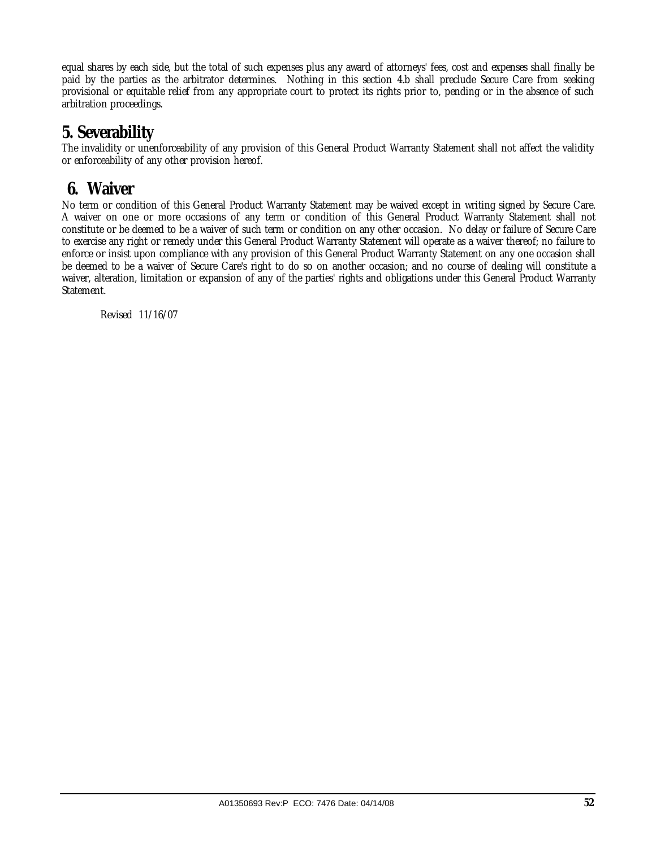equal shares by each side, but the total of such expenses plus any award of attorneys' fees, cost and expenses shall finally be paid by the parties as the arbitrator determines. Nothing in this section 4.b shall preclude Secure Care from seeking provisional or equitable relief from any appropriate court to protect its rights prior to, pending or in the absence of such arbitration proceedings.

### **5. Severability**

The invalidity or unenforceability of any provision of this General Product Warranty Statement shall not affect the validity or enforceability of any other provision hereof.

### **6. Waiver**

No term or condition of this General Product Warranty Statement may be waived except in writing signed by Secure Care. A waiver on one or more occasions of any term or condition of this General Product Warranty Statement shall not constitute or be deemed to be a waiver of such term or condition on any other occasion. No delay or failure of Secure Care to exercise any right or remedy under this General Product Warranty Statement will operate as a waiver thereof; no failure to enforce or insist upon compliance with any provision of this General Product Warranty Statement on any one occasion shall be deemed to be a waiver of Secure Care's right to do so on another occasion; and no course of dealing will constitute a waiver, alteration, limitation or expansion of any of the parties' rights and obligations under this General Product Warranty Statement.

Revised 11/16/07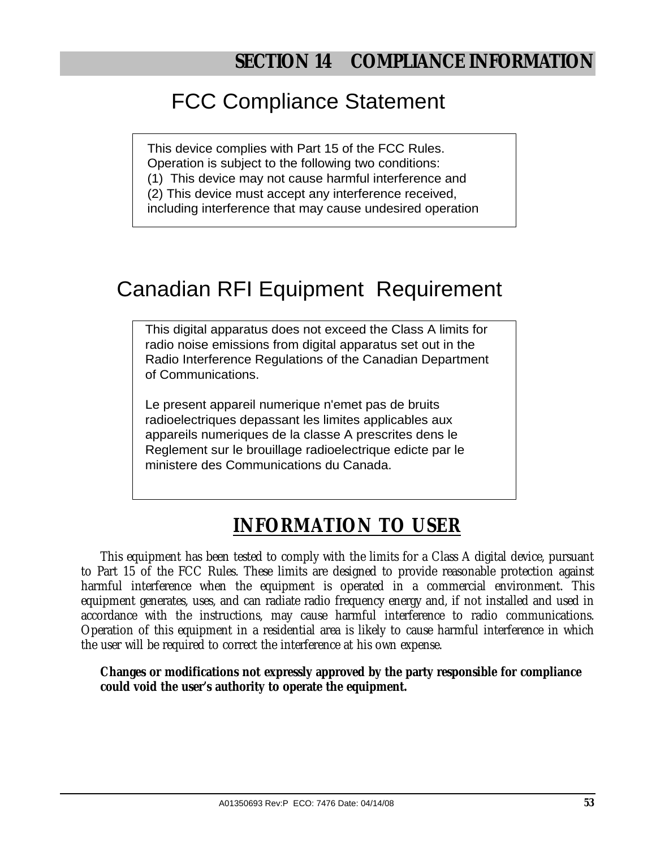# FCC Compliance Statement

This device complies with Part 15 of the FCC Rules. Operation is subject to the following two conditions: (1) This device may not cause harmful interference and (2) This device must accept any interference received, including interference that may cause undesired operation

# Canadian RFI Equipment Requirement

This digital apparatus does not exceed the Class A limits for radio noise emissions from digital apparatus set out in the Radio Interference Regulations of the Canadian Department of Communications.

Le present appareil numerique n'emet pas de bruits radioelectriques depassant les limites applicables aux appareils numeriques de la classe A prescrites dens le Reglement sur le brouillage radioelectrique edicte par le ministere des Communications du Canada.

# **INFORMATION TO USER**

This equipment has been tested to comply with the limits for a Class A digital device, pursuant to Part 15 of the FCC Rules. These limits are designed to provide reasonable protection against harmful interference when the equipment is operated in a commercial environment. This equipment generates, uses, and can radiate radio frequency energy and, if not installed and used in accordance with the instructions, may cause harmful interference to radio communications. Operation of this equipment in a residential area is likely to cause harmful interference in which the user will be required to correct the interference at his own expense.

**Changes or modifications not expressly approved by the party responsible for compliance could void the user's authority to operate the equipment.**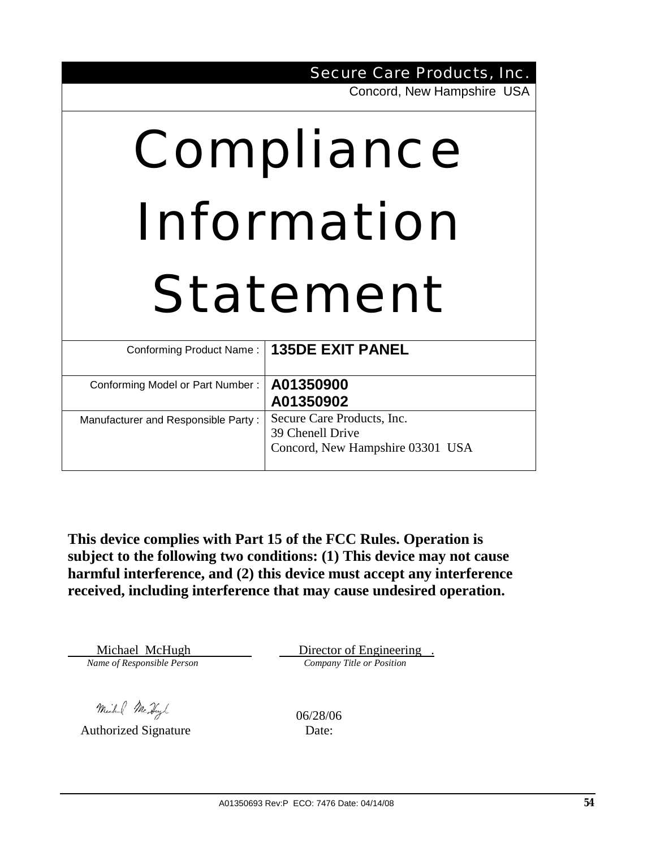|                                               | <b>Secure Care Products, Inc.</b>                                                  |  |  |
|-----------------------------------------------|------------------------------------------------------------------------------------|--|--|
|                                               | Concord, New Hampshire USA                                                         |  |  |
| Compliance<br>Information<br><b>Statement</b> |                                                                                    |  |  |
| Conforming Product Name:                      | <b>135DE EXIT PANEL</b>                                                            |  |  |
| Conforming Model or Part Number:              | A01350900<br>A01350902                                                             |  |  |
| Manufacturer and Responsible Party:           | Secure Care Products, Inc.<br>39 Chenell Drive<br>Concord, New Hampshire 03301 USA |  |  |

**This device complies with Part 15 of the FCC Rules. Operation is subject to the following two conditions: (1) This device may not cause harmful interference, and (2) this device must accept any interference received, including interference that may cause undesired operation.** 

Michael McHugh Director of Engineering .<br>*Name of Responsible Person* Company Title or Position

Michel McHyl (16/28/06

Authorized Signature Date: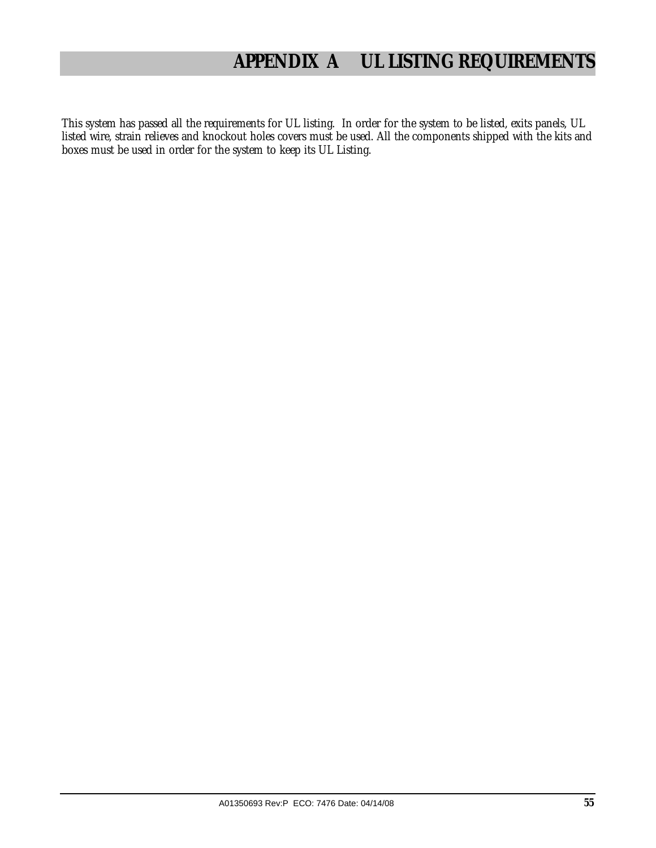# **APPENDIX A UL LISTING REQUIREMENTS**

This system has passed all the requirements for UL listing. In order for the system to be listed, exits panels, UL listed wire, strain relieves and knockout holes covers must be used. All the components shipped with the kits and boxes must be used in order for the system to keep its UL Listing.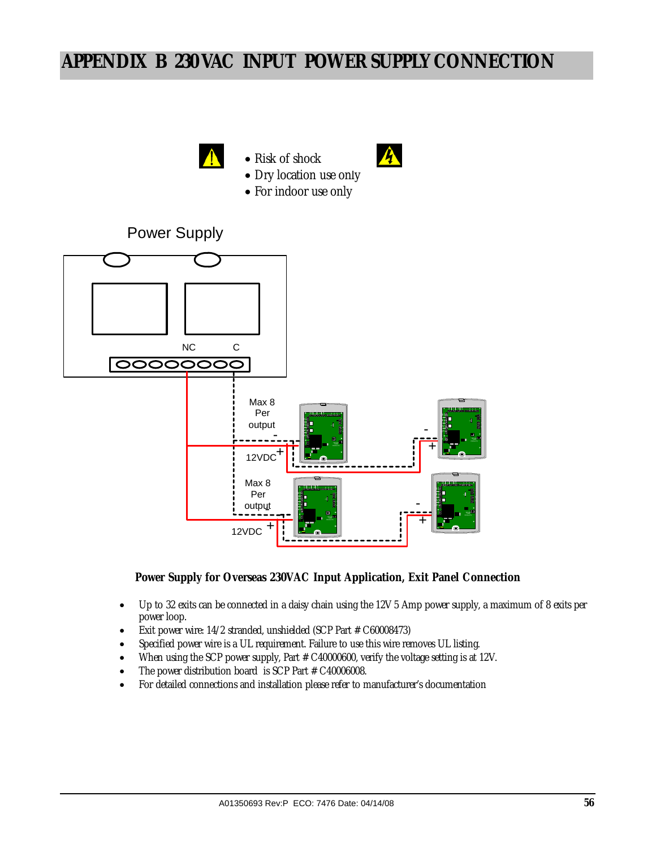# **APPENDIX B 230 VAC INPUT POWER SUPPLY CONNECTION**



### **Power Supply for Overseas 230VAC Input Application, Exit Panel Connection**

- Up to 32 exits can be connected in a daisy chain using the 12V 5 Amp power supply, a maximum of 8 exits per power loop.
- Exit power wire: 14/2 stranded, unshielded (SCP Part # C60008473)
- Specified power wire is a UL requirement. Failure to use this wire removes UL listing.
- When using the SCP power supply, Part # C40000600, verify the voltage setting is at 12V.
- The power distribution board is SCP Part # C40006008.
- For detailed connections and installation please refer to manufacturer's documentation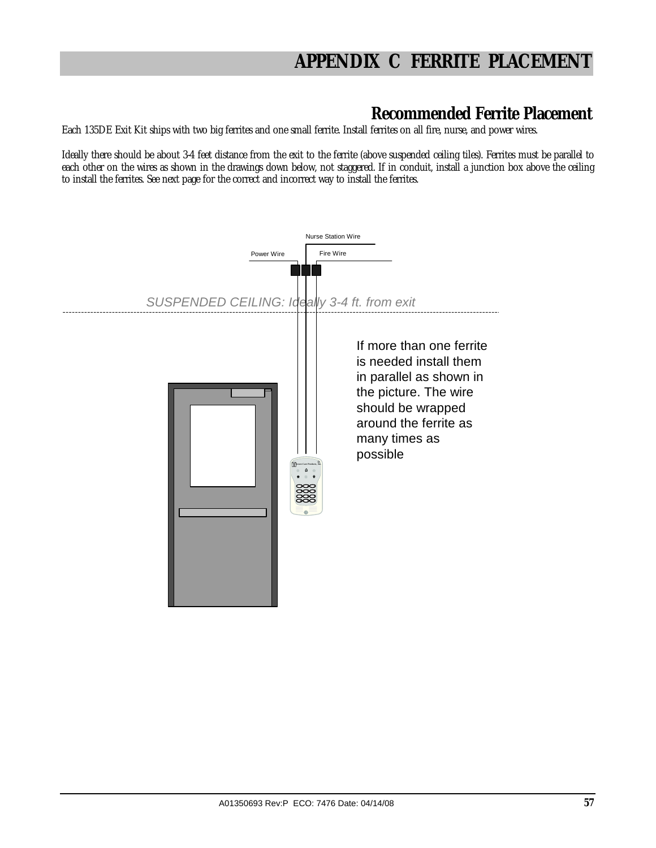# **APPENDIX C FERRITE PLACEMENT**

### **Recommended Ferrite Placement**

Each 135DE Exit Kit ships with two big ferrites and one small ferrite. Install ferrites on all fire, nurse, and power wires.

Ideally there should be about 3-4 feet distance from the exit to the ferrite (above suspended ceiling tiles). Ferrites must be parallel to each other on the wires as shown in the drawings down below, not staggered. If in conduit, install a junction box above the ceiling to install the ferrites. See next page for the correct and incorrect way to install the ferrites.

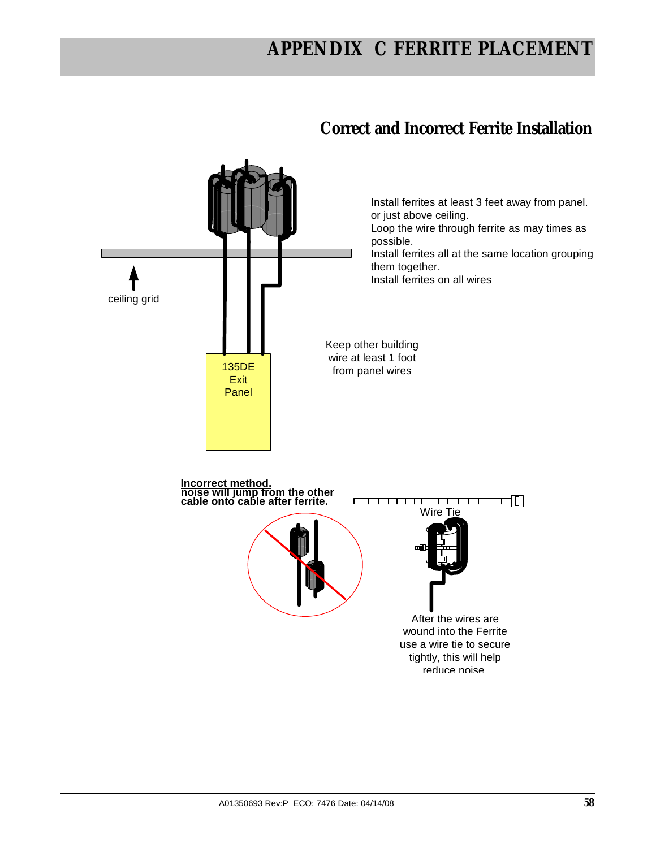# **APPENDIX C FERRITE PLACEMENT**

## **Correct and Incorrect Ferrite Installation**